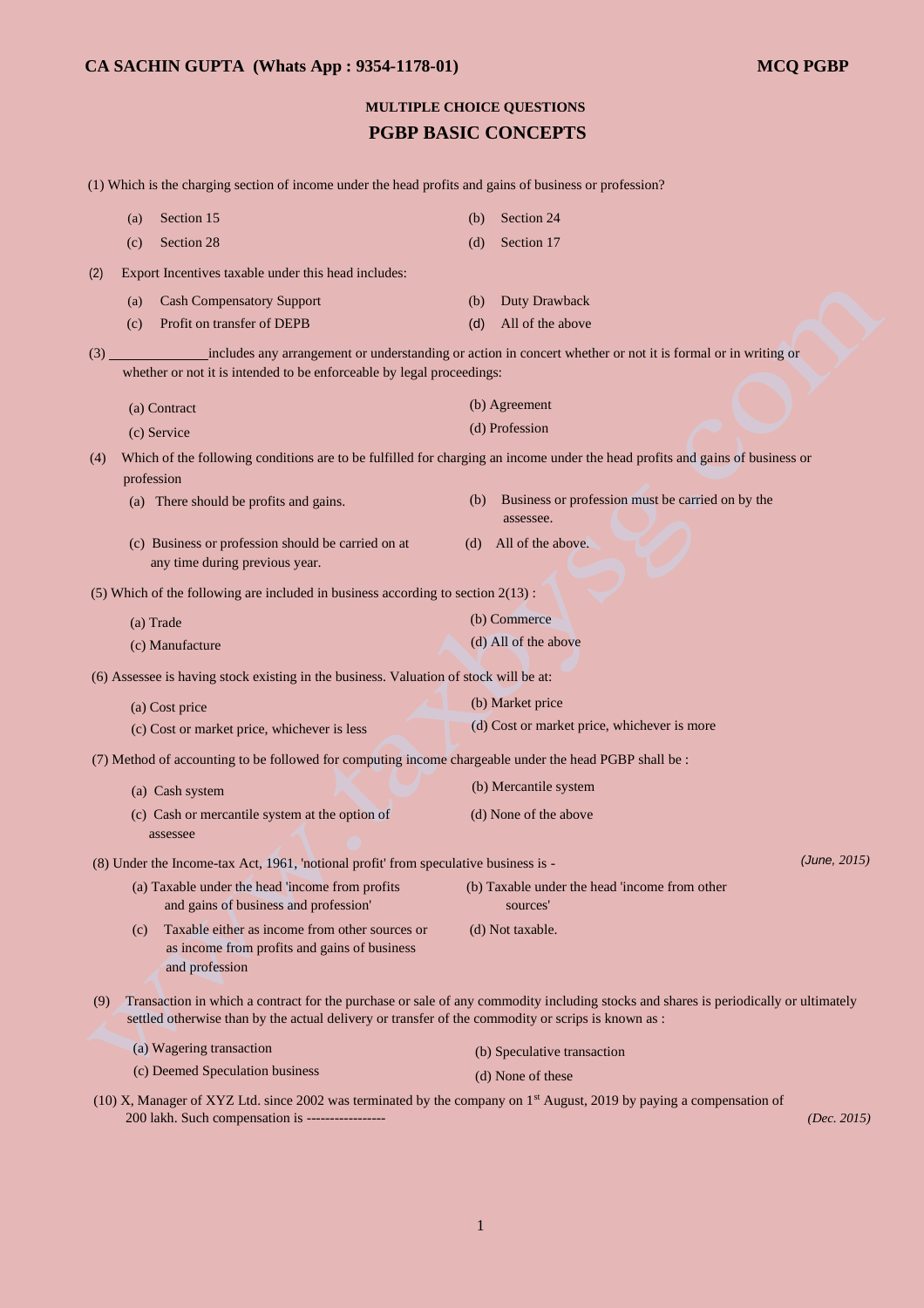# **MULTIPLE CHOICE QUESTIONS PGBP BASIC CONCEPTS**

(1) Which is the charging section of income under the head profits and gains of business or profession?

|     | (a)                                                                                                                                                                                                 | Section 15                                                                                                       | (b) | Section 24                                                                                                                          |
|-----|-----------------------------------------------------------------------------------------------------------------------------------------------------------------------------------------------------|------------------------------------------------------------------------------------------------------------------|-----|-------------------------------------------------------------------------------------------------------------------------------------|
|     | (c)                                                                                                                                                                                                 | Section 28                                                                                                       | (d) | Section 17                                                                                                                          |
| (2) |                                                                                                                                                                                                     | Export Incentives taxable under this head includes:                                                              |     |                                                                                                                                     |
|     | (a)                                                                                                                                                                                                 | <b>Cash Compensatory Support</b>                                                                                 | (b) | <b>Duty Drawback</b>                                                                                                                |
|     | (c)                                                                                                                                                                                                 | Profit on transfer of DEPB                                                                                       | (d) | All of the above                                                                                                                    |
| (3) |                                                                                                                                                                                                     | whether or not it is intended to be enforceable by legal proceedings:                                            |     | includes any arrangement or understanding or action in concert whether or not it is formal or in writing or                         |
|     |                                                                                                                                                                                                     | (a) Contract                                                                                                     |     | (b) Agreement                                                                                                                       |
|     |                                                                                                                                                                                                     | (c) Service                                                                                                      |     | (d) Profession                                                                                                                      |
| (4) | profession                                                                                                                                                                                          |                                                                                                                  |     | Which of the following conditions are to be fulfilled for charging an income under the head profits and gains of business or        |
|     |                                                                                                                                                                                                     | (a) There should be profits and gains.                                                                           | (b) | Business or profession must be carried on by the<br>assessee.                                                                       |
|     |                                                                                                                                                                                                     | (c) Business or profession should be carried on at<br>any time during previous year.                             | (d) | All of the above.                                                                                                                   |
|     |                                                                                                                                                                                                     | (5) Which of the following are included in business according to section $2(13)$ :                               |     |                                                                                                                                     |
|     |                                                                                                                                                                                                     | (a) Trade                                                                                                        |     | (b) Commerce                                                                                                                        |
|     |                                                                                                                                                                                                     | (c) Manufacture                                                                                                  |     | (d) All of the above                                                                                                                |
|     |                                                                                                                                                                                                     | (6) Assessee is having stock existing in the business. Valuation of stock will be at:                            |     |                                                                                                                                     |
|     | (b) Market price<br>(a) Cost price                                                                                                                                                                  |                                                                                                                  |     |                                                                                                                                     |
|     |                                                                                                                                                                                                     | (c) Cost or market price, whichever is less                                                                      |     | (d) Cost or market price, whichever is more                                                                                         |
|     |                                                                                                                                                                                                     | (7) Method of accounting to be followed for computing income chargeable under the head PGBP shall be :           |     |                                                                                                                                     |
|     |                                                                                                                                                                                                     | (a) Cash system                                                                                                  |     | (b) Mercantile system                                                                                                               |
|     |                                                                                                                                                                                                     | (c) Cash or mercantile system at the option of<br>assessee                                                       |     | (d) None of the above                                                                                                               |
|     |                                                                                                                                                                                                     | (8) Under the Income-tax Act, 1961, 'notional profit' from speculative business is -                             |     | (June, 2015)                                                                                                                        |
|     |                                                                                                                                                                                                     | (a) Taxable under the head 'income from profits<br>and gains of business and profession'                         |     | (b) Taxable under the head 'income from other<br>sources'                                                                           |
|     | (c)                                                                                                                                                                                                 | Taxable either as income from other sources or<br>as income from profits and gains of business<br>and profession |     | (d) Not taxable.                                                                                                                    |
| (9) |                                                                                                                                                                                                     | settled otherwise than by the actual delivery or transfer of the commodity or scrips is known as :               |     | Transaction in which a contract for the purchase or sale of any commodity including stocks and shares is periodically or ultimately |
|     |                                                                                                                                                                                                     | (a) Wagering transaction                                                                                         |     | (b) Speculative transaction                                                                                                         |
|     |                                                                                                                                                                                                     | (c) Deemed Speculation business                                                                                  |     | (d) None of these                                                                                                                   |
|     | (10) X, Manager of XYZ Ltd. since 2002 was terminated by the company on 1 <sup>st</sup> August, 2019 by paying a compensation of<br>200 lakh. Such compensation is -----------------<br>(Dec. 2015) |                                                                                                                  |     |                                                                                                                                     |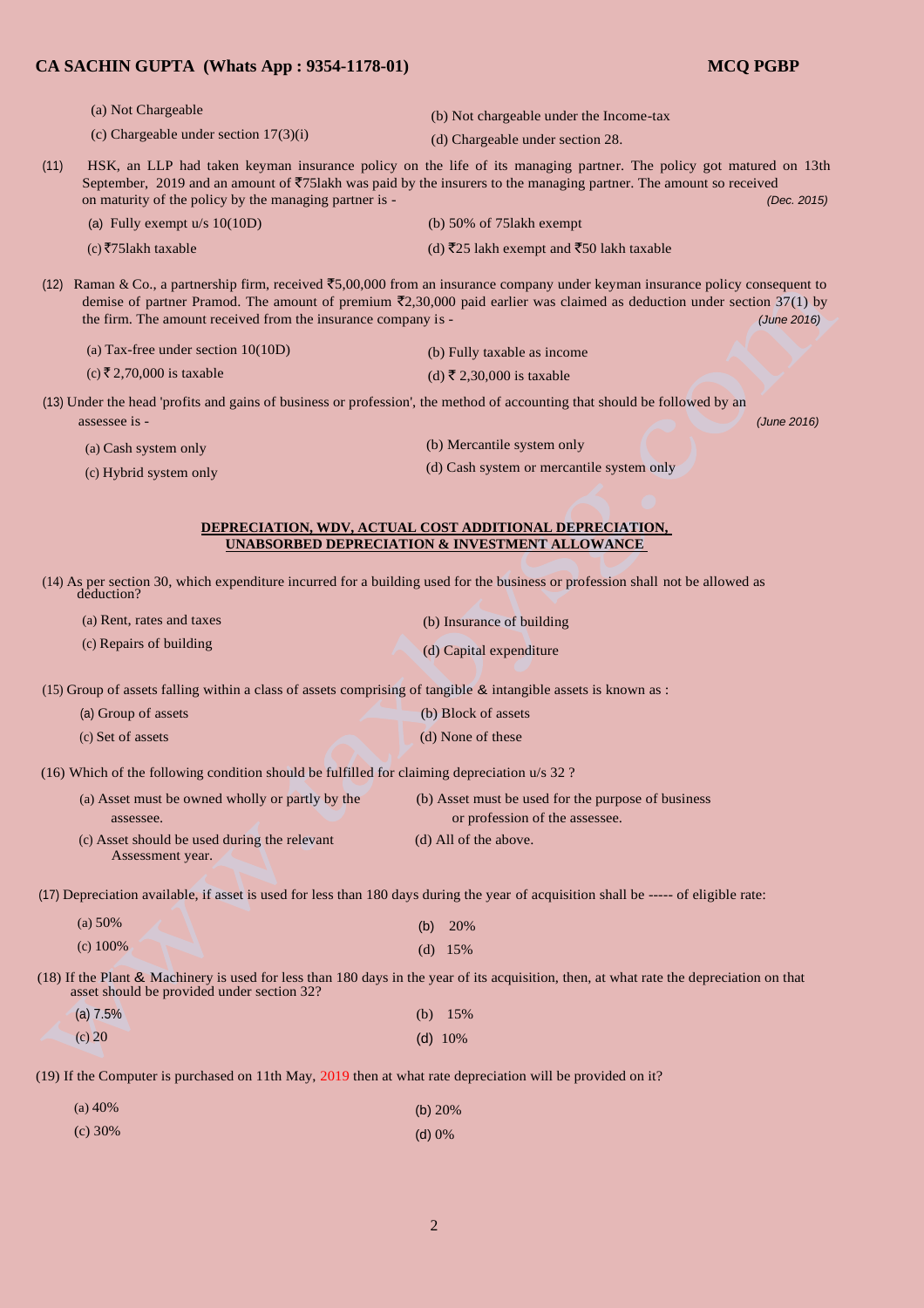|      | (a) Not Chargeable<br>(c) Chargeable under section $17(3)(i)$                                                                                                                                                                                                                                                  | (b) Not chargeable under the Income-tax<br>(d) Chargeable under section 28. |
|------|----------------------------------------------------------------------------------------------------------------------------------------------------------------------------------------------------------------------------------------------------------------------------------------------------------------|-----------------------------------------------------------------------------|
| (11) | HSK, an LLP had taken keyman insurance policy on the life of its managing partner. The policy got matured on 13th<br>September, 2019 and an amount of $\overline{5}75$ lakh was paid by the insurers to the managing partner. The amount so received<br>on maturity of the policy by the managing partner is - |                                                                             |
|      | (a) Fully exempt $u/s$ 10(10D)                                                                                                                                                                                                                                                                                 | (b) $50\%$ of $75$ lakh exempt                                              |
|      | (c) ₹751akh taxable                                                                                                                                                                                                                                                                                            | (d) ₹25 lakh exempt and ₹50 lakh taxable                                    |
|      |                                                                                                                                                                                                                                                                                                                |                                                                             |

(12) Raman & Co., a partnership firm, received  $\overline{55,00,000}$  from an insurance company under keyman insurance policy consequent to demise of partner Pramod. The amount of premium  $\overline{2}2,30,000$  paid earlier was claimed as deduction under section 37(1) by the firm. The amount received from the insurance company is - *(June 2016)* 

| (a) Tax-free under section $10(10D)$                                                                                      | (b) Fully taxable as income |
|---------------------------------------------------------------------------------------------------------------------------|-----------------------------|
| (c) ₹ 2,70,000 is taxable                                                                                                 | (d) ₹ 2.30,000 is taxable   |
| (13) Under the head 'profits and gains of business or profession', the method of accounting that should be followed by an |                             |

assessee is - *(June 2016)* 

| (a) Cash system only   | (b) Mercantile system only                |
|------------------------|-------------------------------------------|
| (c) Hybrid system only | (d) Cash system or mercantile system only |

## **DEPRECIATION, WDV, ACTUAL COST ADDITIONAL DEPRECIATION, UNABSORBED DEPRECIATION & INVESTMENT ALLOWANCE**

(14) As per section 30, which expenditure incurred for a building used for the business or profession shall not be allowed as deduction?

| (a) Rent, rates and taxes | (b) Insurance of building |
|---------------------------|---------------------------|
| (c) Repairs of building   | (d) Capital expenditure   |

(15) Group of assets falling within a class of assets comprising of tangible & intangible assets is known as :

| (a) Group of assets | (b) Block of assets |
|---------------------|---------------------|
| (c) Set of assets   | (d) None of these   |

(16) Which of the following condition should be fulfilled for claiming depreciation u/s 32 ?

| (a) Asset must be owned wholly or partly by the | (b) Asset must be used for the purpose of business |
|-------------------------------------------------|----------------------------------------------------|
| assessee.                                       | or profession of the assessee.                     |
| (c) Asset should be used during the relevant    | (d) All of the above.                              |
| Assessment year.                                |                                                    |

(17) Depreciation available, if asset is used for less than 180 days during the year of acquisition shall be ----- of eligible rate:

| (a) $50\%$  |  | (b) $20\%$ |
|-------------|--|------------|
| (c) $100\%$ |  | (d) $15%$  |

(18) If the Plant & Machinery is used for less than 180 days in the year of its acquisition, then, at what rate the depreciation on that asset should be provided under section 32?

|          | (a) $7.5%$ | (b) $15%$ |
|----------|------------|-----------|
| (c) $20$ |            | (d) 10%   |

(19) If the Computer is purchased on 11th May, 2019 then at what rate depreciation will be provided on it?

| (a) $40\%$ | (b) $20%$ |
|------------|-----------|
| (c) 30%    | $(d)$ 0%  |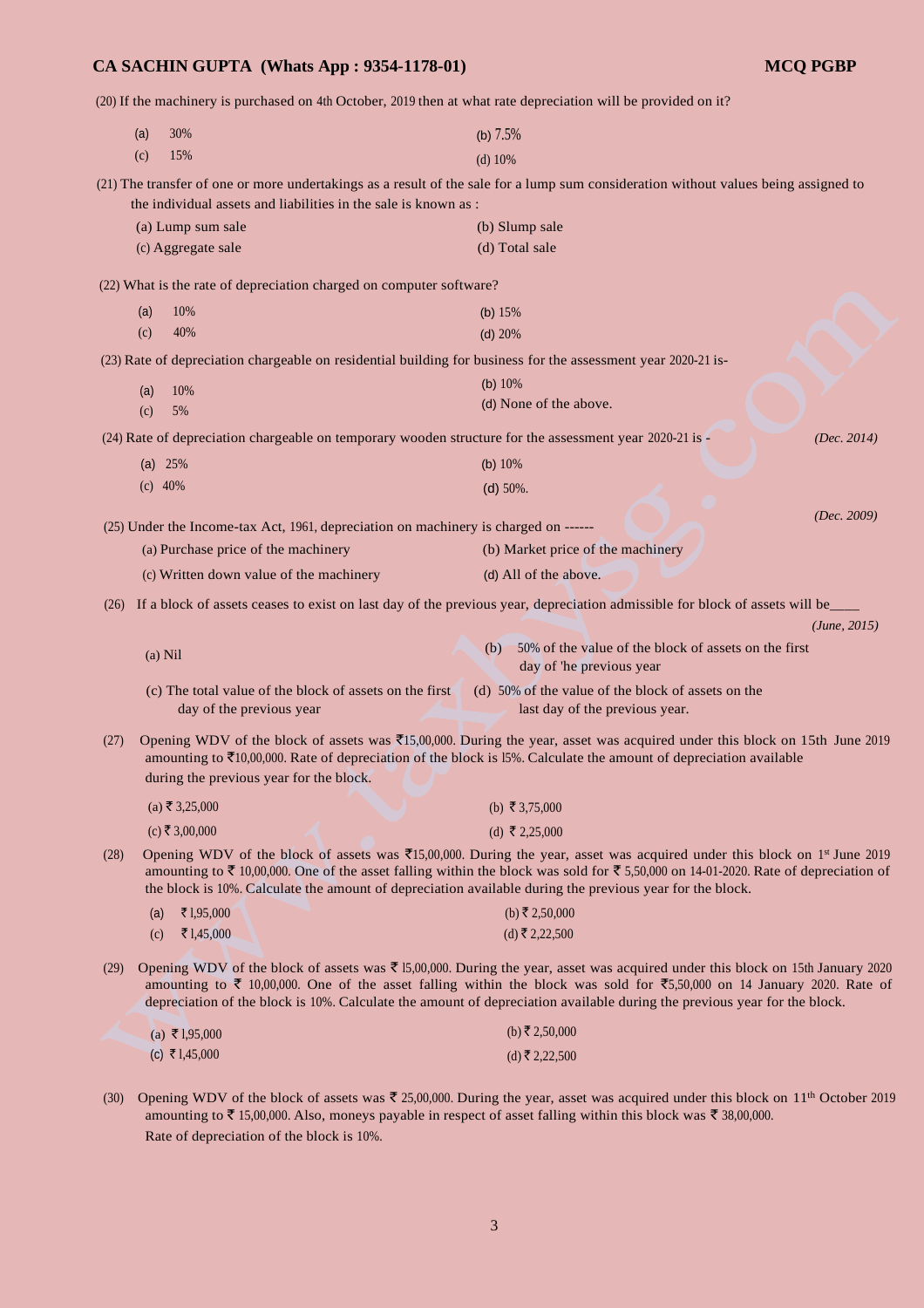(20) If the machinery is purchased on 4th October, 2019 then at what rate depreciation will be provided on it?

|      | (a)                                                                                                                                                                                                                                                                                                                                                                                                    | 30%                                                                                                           | (b) $7.5%$                                                                                                                                                                                                                                                                                                                                                                                         |
|------|--------------------------------------------------------------------------------------------------------------------------------------------------------------------------------------------------------------------------------------------------------------------------------------------------------------------------------------------------------------------------------------------------------|---------------------------------------------------------------------------------------------------------------|----------------------------------------------------------------------------------------------------------------------------------------------------------------------------------------------------------------------------------------------------------------------------------------------------------------------------------------------------------------------------------------------------|
|      | (c)                                                                                                                                                                                                                                                                                                                                                                                                    | 15%                                                                                                           | $(d)$ 10%                                                                                                                                                                                                                                                                                                                                                                                          |
|      |                                                                                                                                                                                                                                                                                                                                                                                                        |                                                                                                               | (21) The transfer of one or more undertakings as a result of the sale for a lump sum consideration without values being assigned to                                                                                                                                                                                                                                                                |
|      |                                                                                                                                                                                                                                                                                                                                                                                                        | the individual assets and liabilities in the sale is known as :                                               |                                                                                                                                                                                                                                                                                                                                                                                                    |
|      |                                                                                                                                                                                                                                                                                                                                                                                                        | (a) Lump sum sale                                                                                             | (b) Slump sale                                                                                                                                                                                                                                                                                                                                                                                     |
|      |                                                                                                                                                                                                                                                                                                                                                                                                        | (c) Aggregate sale                                                                                            | (d) Total sale                                                                                                                                                                                                                                                                                                                                                                                     |
|      |                                                                                                                                                                                                                                                                                                                                                                                                        | (22) What is the rate of depreciation charged on computer software?                                           |                                                                                                                                                                                                                                                                                                                                                                                                    |
|      | (a)                                                                                                                                                                                                                                                                                                                                                                                                    | 10%                                                                                                           | (b) $15%$                                                                                                                                                                                                                                                                                                                                                                                          |
|      | (c)                                                                                                                                                                                                                                                                                                                                                                                                    | 40%                                                                                                           | (d) $20%$                                                                                                                                                                                                                                                                                                                                                                                          |
|      |                                                                                                                                                                                                                                                                                                                                                                                                        | (23) Rate of depreciation chargeable on residential building for business for the assessment year 2020-21 is- |                                                                                                                                                                                                                                                                                                                                                                                                    |
|      | (a)                                                                                                                                                                                                                                                                                                                                                                                                    | 10%                                                                                                           | (b) $10%$                                                                                                                                                                                                                                                                                                                                                                                          |
|      | (c)                                                                                                                                                                                                                                                                                                                                                                                                    | 5%                                                                                                            | (d) None of the above.                                                                                                                                                                                                                                                                                                                                                                             |
|      |                                                                                                                                                                                                                                                                                                                                                                                                        | (24) Rate of depreciation chargeable on temporary wooden structure for the assessment year 2020-21 is -       | (Dec. 2014)                                                                                                                                                                                                                                                                                                                                                                                        |
|      |                                                                                                                                                                                                                                                                                                                                                                                                        | (a) $25%$                                                                                                     | (b) $10%$                                                                                                                                                                                                                                                                                                                                                                                          |
|      | $(c)$ 40%                                                                                                                                                                                                                                                                                                                                                                                              |                                                                                                               | (d) $50\%$ .                                                                                                                                                                                                                                                                                                                                                                                       |
|      |                                                                                                                                                                                                                                                                                                                                                                                                        | (25) Under the Income-tax Act, 1961, depreciation on machinery is charged on ------                           | (Dec. 2009)                                                                                                                                                                                                                                                                                                                                                                                        |
|      |                                                                                                                                                                                                                                                                                                                                                                                                        | (a) Purchase price of the machinery                                                                           | (b) Market price of the machinery                                                                                                                                                                                                                                                                                                                                                                  |
|      |                                                                                                                                                                                                                                                                                                                                                                                                        | (c) Written down value of the machinery                                                                       | (d) All of the above.                                                                                                                                                                                                                                                                                                                                                                              |
| (26) |                                                                                                                                                                                                                                                                                                                                                                                                        |                                                                                                               | If a block of assets ceases to exist on last day of the previous year, depreciation admissible for block of assets will be                                                                                                                                                                                                                                                                         |
|      |                                                                                                                                                                                                                                                                                                                                                                                                        |                                                                                                               | (June, 2015)                                                                                                                                                                                                                                                                                                                                                                                       |
|      |                                                                                                                                                                                                                                                                                                                                                                                                        | $(a)$ Nil                                                                                                     | 50% of the value of the block of assets on the first<br>(b)<br>day of 'he previous year                                                                                                                                                                                                                                                                                                            |
|      |                                                                                                                                                                                                                                                                                                                                                                                                        | (c) The total value of the block of assets on the first                                                       | (d) 50% of the value of the block of assets on the                                                                                                                                                                                                                                                                                                                                                 |
|      |                                                                                                                                                                                                                                                                                                                                                                                                        | day of the previous year                                                                                      | last day of the previous year.                                                                                                                                                                                                                                                                                                                                                                     |
| (27) |                                                                                                                                                                                                                                                                                                                                                                                                        |                                                                                                               | Opening WDV of the block of assets was $\bar{5}15,00,000$ . During the year, asset was acquired under this block on 15th June 2019<br>amounting to ₹10,00,000. Rate of depreciation of the block is 15%. Calculate the amount of depreciation available                                                                                                                                            |
|      |                                                                                                                                                                                                                                                                                                                                                                                                        | during the previous year for the block.                                                                       |                                                                                                                                                                                                                                                                                                                                                                                                    |
|      |                                                                                                                                                                                                                                                                                                                                                                                                        | $(a)$ ₹ 3,25,000                                                                                              | (b) ₹ 3,75,000                                                                                                                                                                                                                                                                                                                                                                                     |
|      |                                                                                                                                                                                                                                                                                                                                                                                                        | $(c)$ ₹ 3,00,000                                                                                              | (d) ₹ 2,25,000                                                                                                                                                                                                                                                                                                                                                                                     |
| (28) | Opening WDV of the block of assets was $\bar{\epsilon}$ 15,00,000. During the year, asset was acquired under this block on 1 <sup>st</sup> June 2019<br>amounting to ₹ 10,00,000. One of the asset falling within the block was sold for ₹ 5,50,000 on 14-01-2020. Rate of depreciation of<br>the block is 10%. Calculate the amount of depreciation available during the previous year for the block. |                                                                                                               |                                                                                                                                                                                                                                                                                                                                                                                                    |
|      | (a)                                                                                                                                                                                                                                                                                                                                                                                                    | ₹ $1,95,000$                                                                                                  | (b) ₹ 2,50,000                                                                                                                                                                                                                                                                                                                                                                                     |
|      | (c)                                                                                                                                                                                                                                                                                                                                                                                                    | ₹ $1,45,000$                                                                                                  | (d) ₹ 2,22,500                                                                                                                                                                                                                                                                                                                                                                                     |
| (29) |                                                                                                                                                                                                                                                                                                                                                                                                        |                                                                                                               | Opening WDV of the block of assets was $\overline{\xi}$ 15,00,000. During the year, asset was acquired under this block on 15th January 2020<br>amounting to ₹ 10,00,000. One of the asset falling within the block was sold for ₹5,50,000 on 14 January 2020. Rate of<br>depreciation of the block is 10%. Calculate the amount of depreciation available during the previous year for the block. |
|      |                                                                                                                                                                                                                                                                                                                                                                                                        | (a) ₹1,95,000                                                                                                 | (b) ₹ 2,50,000                                                                                                                                                                                                                                                                                                                                                                                     |
|      |                                                                                                                                                                                                                                                                                                                                                                                                        | (c) ₹1,45,000                                                                                                 | (d) ₹ 2,22,500                                                                                                                                                                                                                                                                                                                                                                                     |
|      |                                                                                                                                                                                                                                                                                                                                                                                                        |                                                                                                               |                                                                                                                                                                                                                                                                                                                                                                                                    |

(30) Opening WDV of the block of assets was  $\bar{\tau}$  25,00,000. During the year, asset was acquired under this block on 11<sup>th</sup> October 2019 amounting to  $\bar{\tau}$  15,00,000. Also, moneys payable in respect of asset falling within this block was  $\bar{\tau}$  38,00,000. Rate of depreciation of the block is 10%.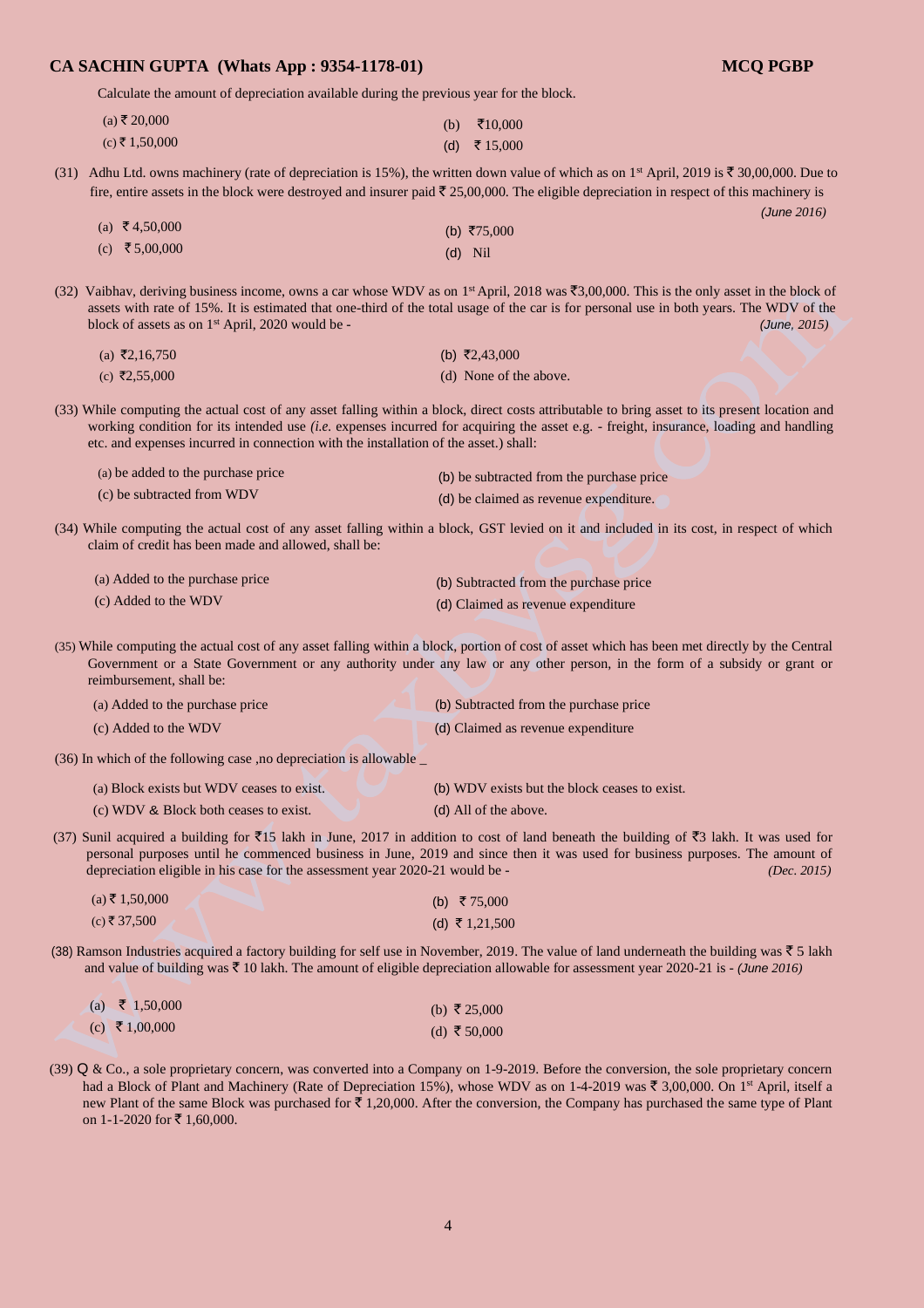Calculate the amount of depreciation available during the previous year for the block.

| (a) ₹ 20,000   | (b) $\bar{x}10,000$ |
|----------------|---------------------|
| (c) ₹ 1,50,000 | (d) ₹ 15,000        |

(31) Adhu Ltd. owns machinery (rate of depreciation is 15%), the written down value of which as on 1<sup>st</sup> April, 2019 is  $\bar{\mathfrak{F}}$  30,00,000. Due to fire, entire assets in the block were destroyed and insurer paid  $\bar{\tau}$  25,00,000. The eligible depreciation in respect of this machinery is

 *(June 2016)*   $(a) \quad \overline{5}4,50,000$  $(c) \t{5,00,000}$  $(b)$  ₹75,000 (d) Nil

(32) Vaibhav, deriving business income, owns a car whose WDV as on  $1<sup>st</sup>$  April, 2018 was ₹3,00,000. This is the only asset in the block of assets with rate of 15%. It is estimated that one-third of the total usage of the car is for personal use in both years. The WDV of the block of assets as on 1 st April, 2020 would be - *(June, 2015)* 

| (a) ₹2,16,750 | (b) ₹2,43,000          |
|---------------|------------------------|
| (c) ₹2,55,000 | (d) None of the above. |

(33) While computing the actual cost of any asset falling within a block, direct costs attributable to bring asset to its present location and working condition for its intended use *(i.e.* expenses incurred for acquiring the asset e.g. - freight, insurance, loading and handling etc. and expenses incurred in connection with the installation of the asset.) shall:

| (a) be added to the purchase price | (b) be subtracted from the purchase price |
|------------------------------------|-------------------------------------------|
| (c) be subtracted from WDV         | (d) be claimed as revenue expenditure.    |

(34) While computing the actual cost of any asset falling within a block, GST levied on it and included in its cost, in respect of which claim of credit has been made and allowed, shall be:

| (a) Added to the purchase price | (b) Subtracted from the purchase price |
|---------------------------------|----------------------------------------|
| (c) Added to the WDV            | (d) Claimed as revenue expenditure     |

(35) While computing the actual cost of any asset falling within a block, portion of cost of asset which has been met directly by the Central Government or a State Government or any authority under any law or any other person, in the form of a subsidy or grant or reimbursement, shall be:

| (a) Added to the purchase price | (b) Subtracted from the purchase price |
|---------------------------------|----------------------------------------|
| (c) Added to the WDV            | (d) Claimed as revenue expenditure     |

(36) In which of the following case ,no depreciation is allowable \_

| (a) Block exists but WDV ceases to exist. | (b) WDV exists but the block ceases to exist. |
|-------------------------------------------|-----------------------------------------------|
| (c) WDV & Block both ceases to exist.     | (d) All of the above.                         |

(37) Sunil acquired a building for  $\overline{5}15$  lakh in June, 2017 in addition to cost of land beneath the building of  $\overline{5}3$  lakh. It was used for personal purposes until he commenced business in June, 2019 and since then it was used for business purposes. The amount of depreciation eligible in his case for the assessment year 2020-21 would be - *(Dec. 2015)* 

| $(a)$ ₹ 1,50,000 | (b) $\bar{\tau}$ 75,000 |
|------------------|-------------------------|
| (c) ₹ 37,500     | (d) ₹ 1,21,500          |

(38) Ramson Industries acquired a factory building for self use in November, 2019. The value of land underneath the building was  $\bar{\tau}$  5 lakh and value of building was  $\bar{\tau}$  10 lakh. The amount of eligible depreciation allowable for assessment year 2020-21 is - *(June 2016)* 

| (a) ₹ 1,50,000 | (b) ₹ 25,000 |
|----------------|--------------|
| (c) ₹1,00,000  | (d) ₹ 50,000 |

(39) Q & Co., a sole proprietary concern, was converted into a Company on 1-9-2019. Before the conversion, the sole proprietary concern had a Block of Plant and Machinery (Rate of Depreciation 15%), whose WDV as on 1-4-2019 was  $\bar{\tau}$  3,00,000. On 1<sup>st</sup> April, itself a new Plant of the same Block was purchased for  $\bar{\tau}$  1,20,000. After the conversion, the Company has purchased the same type of Plant on 1-1-2020 for  $\bar{\tau}$  1,60,000.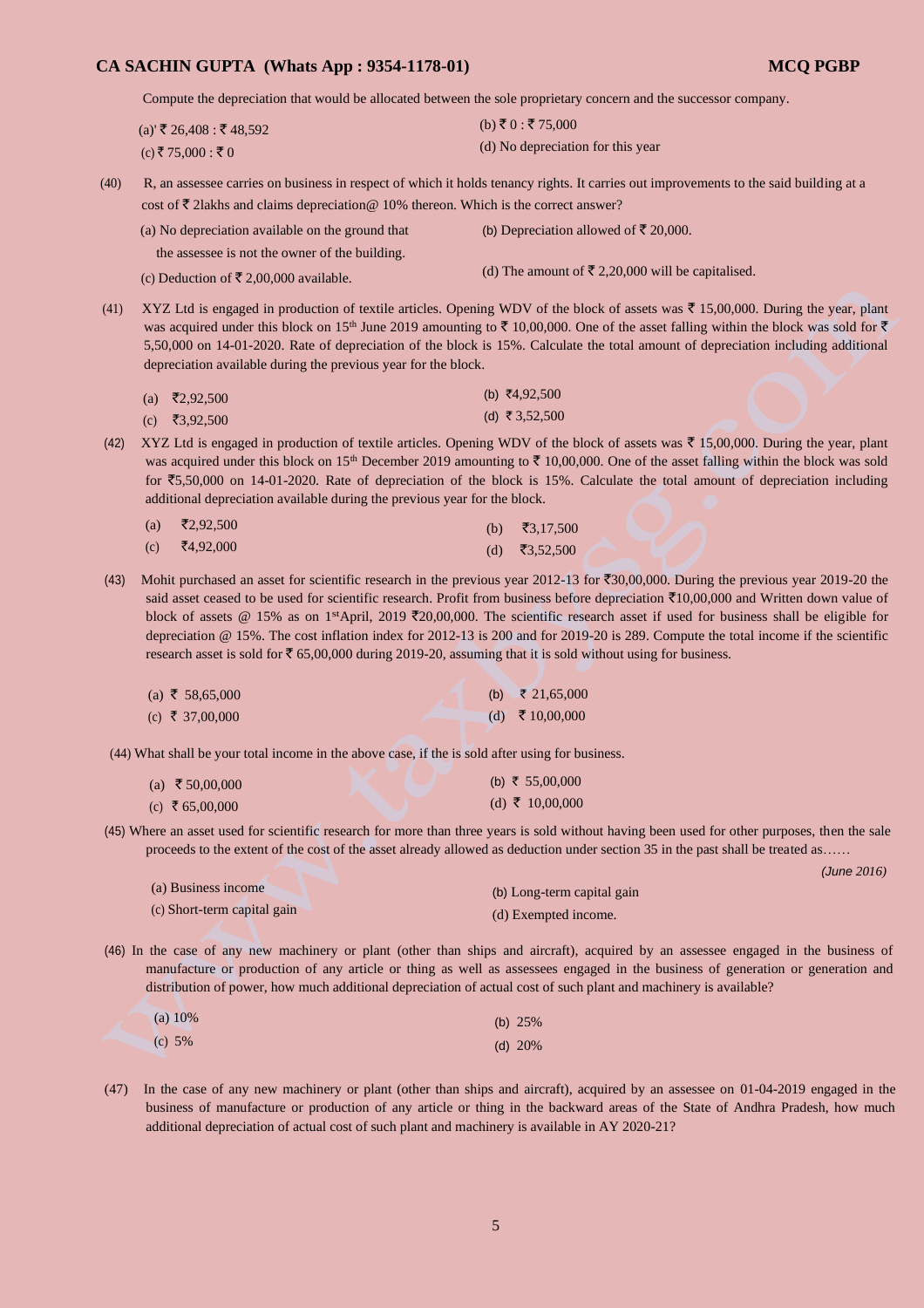Compute the depreciation that would be allocated between the sole proprietary concern and the successor company.

| (a)' ₹ 26,408 : ₹ 48,592 | (b) ₹0 : ₹75,000                  |  |  |
|--------------------------|-----------------------------------|--|--|
| (c) ₹ 75,000 : ₹ 0       | (d) No depreciation for this year |  |  |

(40) R, an assessee carries on business in respect of which it holds tenancy rights. It carries out improvements to the said building at a cost of  $\bar{\tau}$  2lakhs and claims depreciation @ 10% thereon. Which is the correct answer?

| (a) No depreciation available on the ground that | (b) Depreciation allowed of $\bar{\tau}$ 20,000.            |
|--------------------------------------------------|-------------------------------------------------------------|
| the assessee is not the owner of the building.   |                                                             |
| (c) Deduction of ₹ 2,00,000 available.           | (d) The amount of $\bar{\xi}$ 2,20,000 will be capitalised. |

(41) XYZ Ltd is engaged in production of textile articles. Opening WDV of the block of assets was  $\bar{\tau}$  15,00,000. During the year, plant was acquired under this block on 15<sup>th</sup> June 2019 amounting to  $\bar{\tau}$  10,00,000. One of the asset falling within the block was sold for  $\bar{\tau}$ 5,50,000 on 14-01-2020. Rate of depreciation of the block is 15%. Calculate the total amount of depreciation including additional depreciation available during the previous year for the block.

| (a) ₹2,92,500 | (b) ₹4,92,500  |
|---------------|----------------|
| (c) ₹3,92,500 | (d) ₹ 3,52,500 |

(42) XYZ Ltd is engaged in production of textile articles. Opening WDV of the block of assets was  $\bar{\tau}$  15,00,000. During the year, plant was acquired under this block on 15<sup>th</sup> December 2019 amounting to  $\bar{\tau}$  10,00,000. One of the asset falling within the block was sold for  $\overline{5}5,50,000$  on 14-01-2020. Rate of depreciation of the block is 15%. Calculate the total amount of depreciation including additional depreciation available during the previous year for the block.

| (a) ₹2,92,500          | (b) $\bar{x}3,17,500$ |
|------------------------|-----------------------|
| (c) $\bar{x}$ 4,92,000 | (d) ₹3,52,500         |

(43) Mohit purchased an asset for scientific research in the previous year 2012-13 for  $\overline{530,00,000}$ . During the previous year 2019-20 the said asset ceased to be used for scientific research. Profit from business before depreciation  $\bar{\tau}10,00,000$  and Written down value of block of assets @ 15% as on 1<sup>st</sup>April, 2019 ₹20,00,000. The scientific research asset if used for business shall be eligible for depreciation @ 15%. The cost inflation index for 2012-13 is 200 and for 2019-20 is 289. Compute the total income if the scientific research asset is sold for  $\bar{z}$  65,00,000 during 2019-20, assuming that it is sold without using for business.

| (a) ₹ 58,65,000 | (b) $\bar{\tau}$ 21,65,000 |
|-----------------|----------------------------|
| (c) ₹ 37,00,000 | (d) ₹ 10,00,000            |

(44) What shall be your total income in the above case, if the is sold after using for business.

| (a) ₹ 50,00,000 | (b) ₹ 55,00,000 |
|-----------------|-----------------|
| (c) ₹ 65,00,000 | (d) ₹ 10,00,000 |

(45) Where an asset used for scientific research for more than three years is sold without having been used for other purposes, then the sale proceeds to the extent of the cost of the asset already allowed as deduction under section 35 in the past shall be treated as……

*(June 2016)* 

| (a) Business income         | (b) Long-term capital gain |
|-----------------------------|----------------------------|
| (c) Short-term capital gain | (d) Exempted income.       |

(46) In the case of any new machinery or plant (other than ships and aircraft), acquired by an assessee engaged in the business of manufacture or production of any article or thing as well as assessees engaged in the business of generation or generation and distribution of power, how much additional depreciation of actual cost of such plant and machinery is available?

| (a) $10\%$ | (b) $25%$ |
|------------|-----------|
| (c) $5%$   | (d) $20%$ |

(47) In the case of any new machinery or plant (other than ships and aircraft), acquired by an assessee on 01-04-2019 engaged in the business of manufacture or production of any article or thing in the backward areas of the State of Andhra Pradesh, how much additional depreciation of actual cost of such plant and machinery is available in AY 2020-21?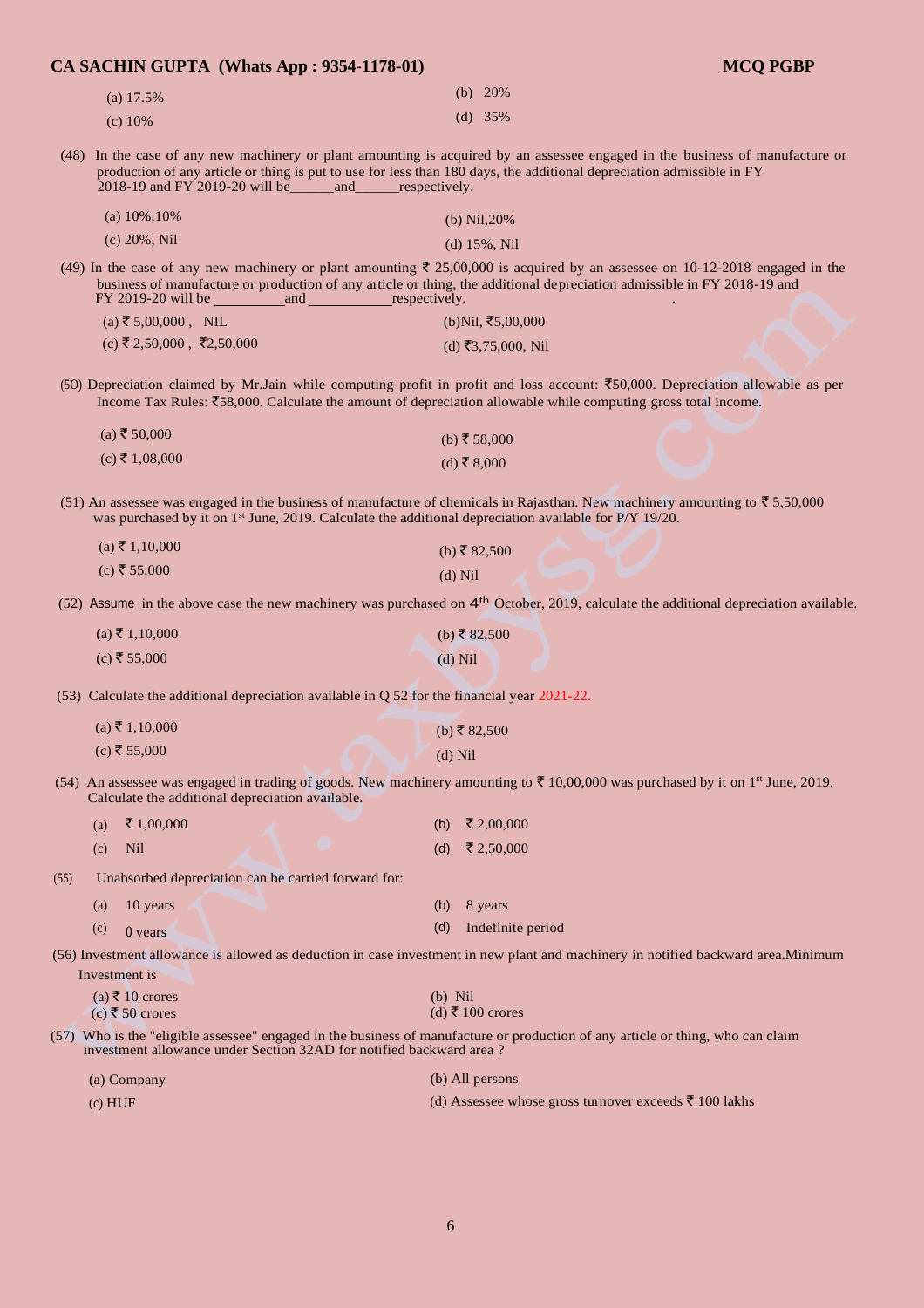| (a) $17.5\%$ | (b) $20\%$ |
|--------------|------------|
| (c) $10\%$   | (d) $35%$  |

(48) In the case of any new machinery or plant amounting is acquired by an assessee engaged in the business of manufacture or production of any article or thing is put to use for less than 180 days, the additional depreciation admissible in FY 2018-19 and FY 2019-20 will be entity and respectively. 2018-19 and FY 2019-20 will be\_\_\_\_\_and\_\_\_

| (a) $10\%, 10\%$ | (b) Nil, $20\%$  |
|------------------|------------------|
| $(c) 20\%$ , Nil | (d) $15\%$ , Nil |

(49) In the case of any new machinery or plant amounting  $\bar{\tau}$  25,00,000 is acquired by an assessee on 10-12-2018 engaged in the business of manufacture or production of any article or thing, the additional depreciation admissible in FY 2018-19 and<br>FY 2019-20 will be and respectively. FY 2019-20 will be  $\_$ 

| $(a)$ ₹ 5,00,000, NIL      | (b)Nil, ₹5,00,000  |
|----------------------------|--------------------|
| (c) ₹ 2,50,000 , ₹2,50,000 | (d) ₹3,75,000, Nil |

(50) Depreciation claimed by Mr.Jain while computing profit in profit and loss account:  $\overline{50,000}$ . Depreciation allowable as per Income Tax Rules: `58,000. Calculate the amount of depreciation allowable while computing gross total income.

| $(a)$ ₹ 50,000 | (b) ₹ 58,000 |
|----------------|--------------|
| (c) ₹ 1,08,000 | (d) ₹8,000   |

(51) An assessee was engaged in the business of manufacture of chemicals in Rajasthan. New machinery amounting to  $\overline{5}$  5,50,000 was purchased by it on 1<sup>st</sup> June, 2019. Calculate the additional depreciation available for P/Y 19/20.

| $(a)$ ₹ 1,10,000 | (b) ₹ 82,500 |
|------------------|--------------|
| (c) ₹ 55,000     | $(d)$ Nil    |

 $(52)$  Assume in the above case the new machinery was purchased on  $4<sup>th</sup>$  October, 2019, calculate the additional depreciation available.

| $(a) \t{3} \t{1,10,000}$ | (b) ₹ 82,500 |
|--------------------------|--------------|
| (c) ₹ 55,000             | $(d)$ Nil    |

(53) Calculate the additional depreciation available in Q 52 for the financial year 2021-22.

| $(a)$ ₹ 1,10,000 | (b) ₹ 82,500 |
|------------------|--------------|
| (c) ₹ 55,000     | $(d)$ Nil    |

(54) An assessee was engaged in trading of goods. New machinery amounting to  $\bar{\tau}$  10,00,000 was purchased by it on 1<sup>st</sup> June, 2019. Calculate the additional depreciation available.

| (a) ₹ 1,00,000 |  | (b) $\bar{\xi}$ 2,00,000 |
|----------------|--|--------------------------|
| $(c)$ Nil      |  | (d) ₹ 2,50,000           |

(55) Unabsorbed depreciation can be carried forward for:

| (a) $10 \text{ years}$ |  | $(b)$ 8 years         |
|------------------------|--|-----------------------|
| $(c)$ 0 years          |  | (d) Indefinite period |

(56) Investment allowance is allowed as deduction in case investment in new plant and machinery in notified backward area.Minimum Investment is

| $(a)$ ₹ 10 crores | (b) Nil          |
|-------------------|------------------|
| (c) ₹ 50 crores   | (d) ₹ 100 crores |

(57) Who is the "eligible assessee" engaged in the business of manufacture or production of any article or thing, who can claim investment allowance under Section 32AD for notified backward area ?

| (a) Company | (b) All persons                                                  |
|-------------|------------------------------------------------------------------|
| (c) HUF     | (d) Assessee whose gross turnover exceeds $\bar{\tau}$ 100 lakhs |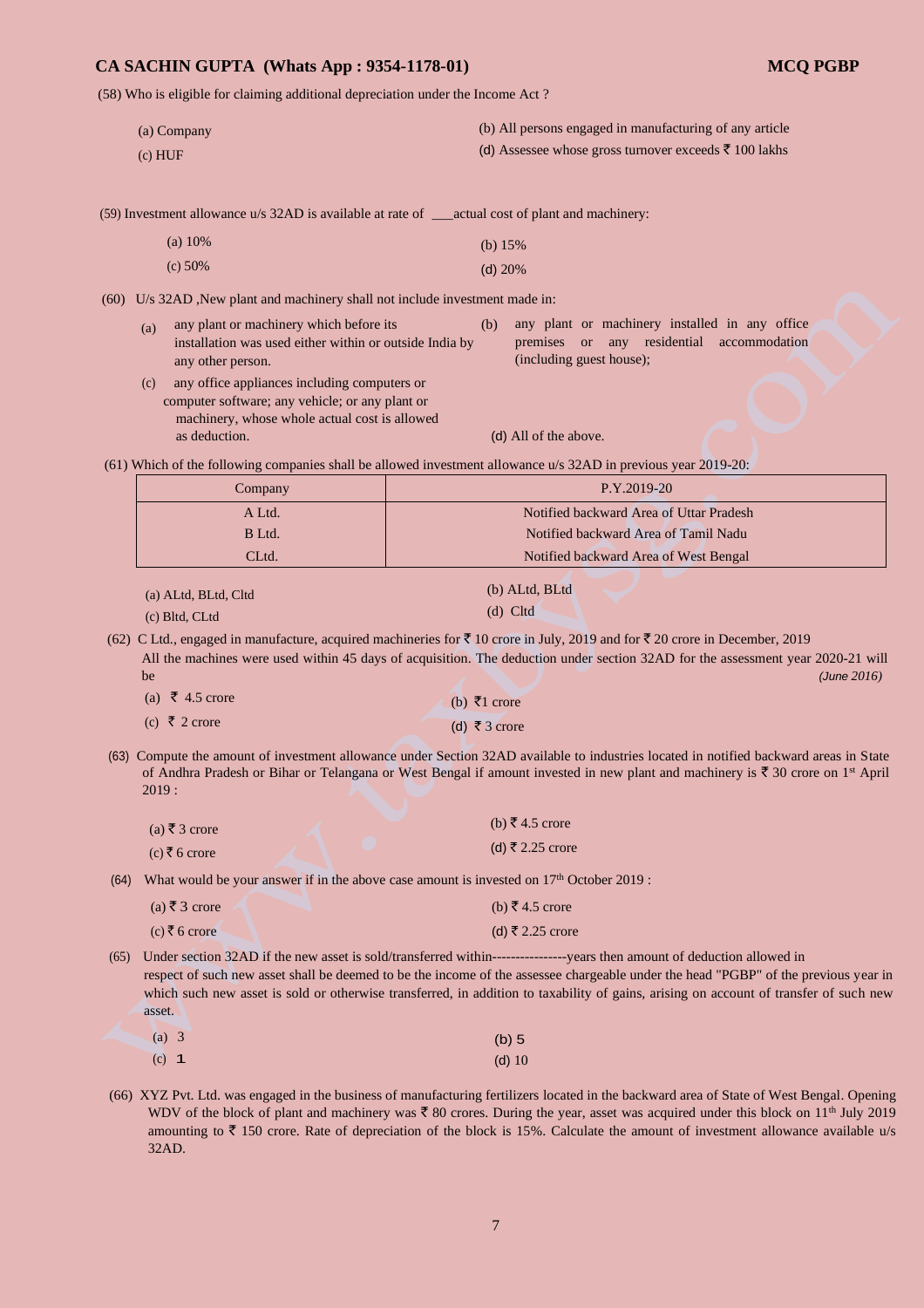(58) Who is eligible for claiming additional depreciation under the Income Act ?

| (a) Company | (b) All persons engaged in manufacturing of any article          |
|-------------|------------------------------------------------------------------|
|             | (d) Assessee whose gross turnover exceeds $\bar{\tau}$ 100 lakhs |

(c) HUF

(d) Assessee whose gross turnover exceeds ₹ 100 lakhs

(59) Investment allowance u/s 32AD is available at rate of \_\_\_actual cost of plant and machinery:

| (a) $10\%$ | (b) $15%$ |
|------------|-----------|
|            |           |

| (c) $50\%$ | (d) $20%$ |
|------------|-----------|
|------------|-----------|

(60) U/s 32AD ,New plant and machinery shall not include investment made in:

| (a) | any plant or machinery which before its                 | (b) | any plant or machinery installed in any office |  |  |  |  |
|-----|---------------------------------------------------------|-----|------------------------------------------------|--|--|--|--|
|     | installation was used either within or outside India by |     | premises or any residential accommodation      |  |  |  |  |
|     | any other person.                                       |     | (including guest house);                       |  |  |  |  |
| (c) | any office appliances including computers or            |     |                                                |  |  |  |  |
|     | computer software; any vehicle; or any plant or         |     |                                                |  |  |  |  |
|     | machinery, whose whole actual cost is allowed           |     |                                                |  |  |  |  |
|     | as deduction.                                           |     | (d) All of the above.                          |  |  |  |  |

(61) Which of the following companies shall be allowed investment allowance u/s 32AD in previous year 2019-20:

| Company                                | P.Y.2019-20                             |
|----------------------------------------|-----------------------------------------|
| A Ltd.                                 | Notified backward Area of Uttar Pradesh |
| B Ltd.                                 | Notified backward Area of Tamil Nadu    |
| CLtd.                                  | Notified backward Area of West Bengal   |
| (a) ALtd, BLtd, Cltd<br>(c) Bltd, CLtd | (b) ALtd, BLtd<br>$(d)$ Cltd            |

(62) C Ltd., engaged in manufacture, acquired machineries for  $\bar{\tau}$  10 crore in July, 2019 and for  $\bar{\tau}$  20 crore in December, 2019

All the machines were used within 45 days of acquisition. The deduction under section 32AD for the assessment year 2020-21 will be *(June 2016)*

| (a) $\bar{z}$ 4.5 crore | (b) ₹1 crore |
|-------------------------|--------------|
|                         |              |

| (c) ₹ 2 crore | (d) ₹ 3 crore |  |
|---------------|---------------|--|
|               |               |  |

(63) Compute the amount of investment allowance under Section 32AD available to industries located in notified backward areas in State of Andhra Pradesh or Bihar or Telangana or West Bengal if amount invested in new plant and machinery is  $\bar{\tau}$  30 crore on 1<sup>st</sup> April 2019 :

| (a) ₹ 3 crore |  | (b) ₹4.5 crore   |
|---------------|--|------------------|
| (c) ₹ 6 crore |  | (d) ₹ 2.25 crore |

(64) What would be your answer if in the above case amount is invested on  $17<sup>th</sup>$  October 2019 :

| (a) ₹ 3 crore   | (b) ₹4.5 crore   |
|-----------------|------------------|
| $(c)$ ₹ 6 crore | (d) ₹ 2.25 crore |

(65) Under section 32AD if the new asset is sold/transferred within----------------years then amount of deduction allowed in respect of such new asset shall be deemed to be the income of the assessee chargeable under the head "PGBP" of the previous year in which such new asset is sold or otherwise transferred, in addition to taxability of gains, arising on account of transfer of such new asset.

| (a) $3$ |  | $(b)$ 5  |
|---------|--|----------|
| $(c)$ 1 |  | $(d)$ 10 |

(66) XYZ Pvt. Ltd. was engaged in the business of manufacturing fertilizers located in the backward area of State of West Bengal. Opening WDV of the block of plant and machinery was  $\bar{\xi}$  80 crores. During the year, asset was acquired under this block on 11<sup>th</sup> July 2019 amounting to  $\bar{\tau}$  150 crore. Rate of depreciation of the block is 15%. Calculate the amount of investment allowance available u/s 32AD.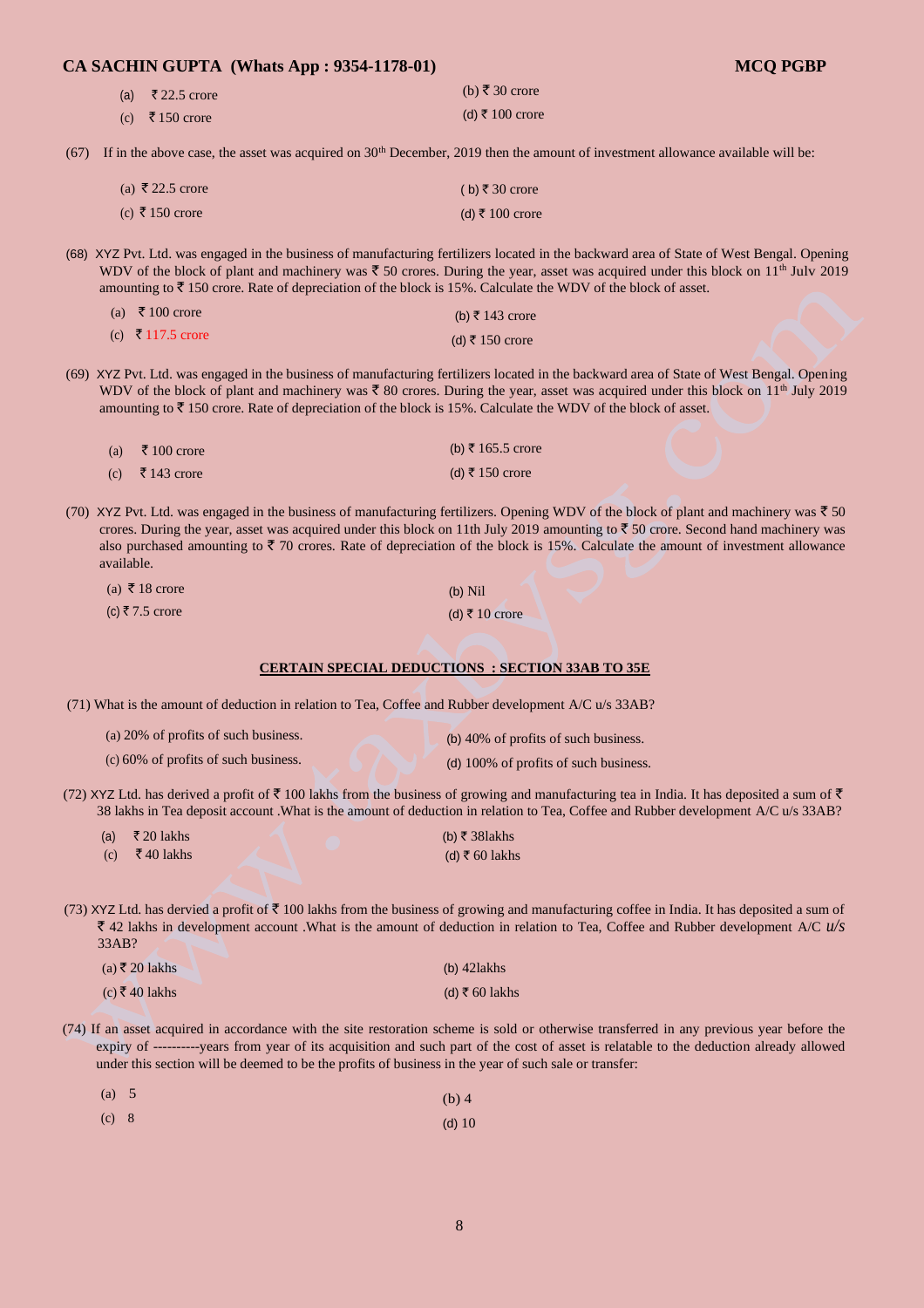| (a) $\bar{\tau}$ 22.5 crore | (b) ₹ 30 crore  |
|-----------------------------|-----------------|
| (c) $\bar{x}$ 150 crore     | (d) ₹ 100 crore |

(67) If in the above case, the asset was acquired on  $30<sup>th</sup>$  December, 2019 then the amount of investment allowance available will be:

| (a) ₹ 22.5 crore | (b) ₹ 30 crore  |
|------------------|-----------------|
| (c) ₹ 150 crore  | (d) ₹ 100 crore |

(68) XYZ Pvt. Ltd. was engaged in the business of manufacturing fertilizers located in the backward area of State of West Bengal. Opening WDV of the block of plant and machinery was  $\overline{5}$  50 crores. During the year, asset was acquired under this block on 11<sup>th</sup> July 2019 amounting to  $\bar{\tau}$  150 crore. Rate of depreciation of the block is 15%. Calculate the WDV of the block of asset.

| (a) ₹ 100 crore   | (b) ₹ 143 crore |
|-------------------|-----------------|
| (c) ₹ 117.5 crore | (d) ₹ 150 crore |

(69) XYZ Pvt. Ltd. was engaged in the business of manufacturing fertilizers located in the backward area of State of West Bengal. Opening WDV of the block of plant and machinery was  $\bar{\xi}$  80 crores. During the year, asset was acquired under this block on 11<sup>th</sup> July 2019 amounting to  $\bar{\mathcal{F}}$  150 crore. Rate of depreciation of the block is 15%. Calculate the WDV of the block of asset.

| (a) $\bar{x}$ 100 crore    | (b) ₹ 165.5 crore |
|----------------------------|-------------------|
| (c) $\bar{\tau}$ 143 crore | (d) ₹ 150 crore   |

(70) XYZ Pvt. Ltd. was engaged in the business of manufacturing fertilizers. Opening WDV of the block of plant and machinery was  $\bar{c}$  50 crores. During the year, asset was acquired under this block on 11th July 2019 amounting to  $\bar{z}$  50 crore. Second hand machinery was also purchased amounting to  $\bar{\tau}$  70 crores. Rate of depreciation of the block is 15%. Calculate the amount of investment allowance available.

| (a) ₹ 18 crore | $(b)$ Nil      |
|----------------|----------------|
| (c) ₹7.5 crore | (d) ₹ 10 crore |

#### **CERTAIN SPECIAL DEDUCTIONS : SECTION 33AB TO 35E**

(71) What is the amount of deduction in relation to Tea, Coffee and Rubber development A/C u/s 33AB?

- (a) 20% of profits of such business. (c) 60% of profits of such business. (b) 40% of profits of such business. (d) 100% of profits of such business.
- (72) XYZ Ltd. has derived a profit of  $\bar{\tau}$  100 lakhs from the business of growing and manufacturing tea in India. It has deposited a sum of  $\bar{\tau}$ 38 lakhs in Tea deposit account .What is the amount of deduction in relation to Tea, Coffee and Rubber development A/C u/s 33AB?

| (a) ₹20 lakhs             | (b) ₹ 381akhs  |
|---------------------------|----------------|
| (c) $\bar{\tau}$ 40 lakhs | (d) ₹ 60 lakhs |

(73) XYZ Ltd. has dervied a profit of  $\bar{\tau}$  100 lakhs from the business of growing and manufacturing coffee in India. It has deposited a sum of ` 42 lakhs in development account .What is the amount of deduction in relation to Tea, Coffee and Rubber development A/C *u/s* 33AB?

| $(a)$ ₹20 lakhs | $(b)$ 42 lakhs |
|-----------------|----------------|
| $(c)$ ₹40 lakhs | (d) ₹ 60 lakhs |

(74) If an asset acquired in accordance with the site restoration scheme is sold or otherwise transferred in any previous year before the expiry of ----------years from year of its acquisition and such part of the cost of asset is relatable to the deduction already allowed under this section will be deemed to be the profits of business in the year of such sale or transfer:

| (a) 5 |  | $(b)$ 4  |
|-------|--|----------|
| (c) 8 |  | $(d)$ 10 |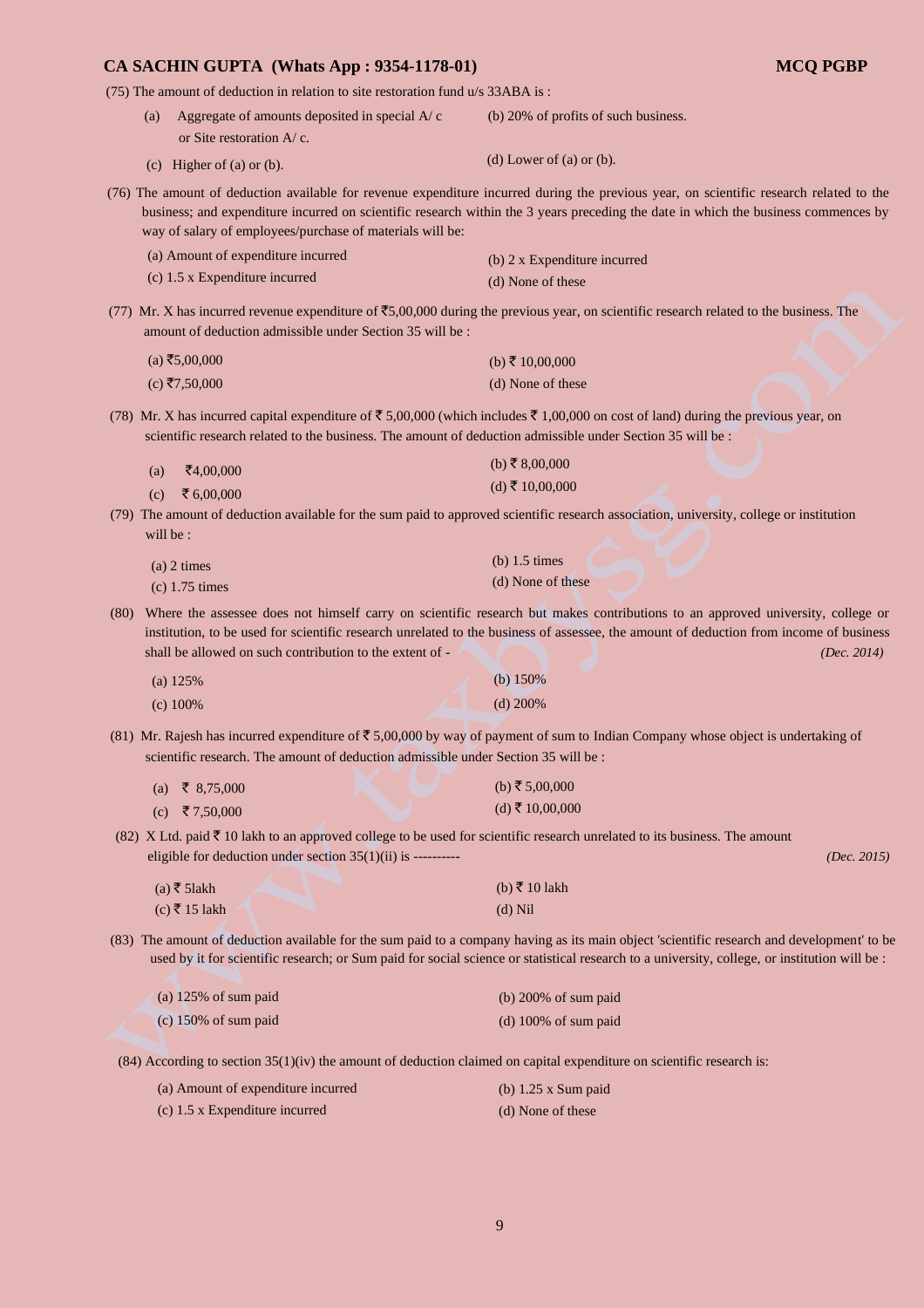|                   | CA DACHIN OCI TA (Whats App . 2004-1170-01)                                                                             | wrth you                                                                                                                                                                                                                                                                                     |
|-------------------|-------------------------------------------------------------------------------------------------------------------------|----------------------------------------------------------------------------------------------------------------------------------------------------------------------------------------------------------------------------------------------------------------------------------------------|
|                   | (75) The amount of deduction in relation to site restoration fund u/s 33ABA is:                                         |                                                                                                                                                                                                                                                                                              |
| (a)               | Aggregate of amounts deposited in special $A/c$<br>or Site restoration A/c.                                             | (b) 20% of profits of such business.                                                                                                                                                                                                                                                         |
|                   | (c) Higher of (a) or (b).                                                                                               | $(d)$ Lower of $(a)$ or $(b)$ .                                                                                                                                                                                                                                                              |
|                   | way of salary of employees/purchase of materials will be:                                                               | (76) The amount of deduction available for revenue expenditure incurred during the previous year, on scientific research related to the<br>business; and expenditure incurred on scientific research within the 3 years preceding the date in which the business commences by                |
|                   | (a) Amount of expenditure incurred                                                                                      | (b) 2 x Expenditure incurred                                                                                                                                                                                                                                                                 |
|                   | (c) 1.5 x Expenditure incurred                                                                                          | (d) None of these                                                                                                                                                                                                                                                                            |
|                   | amount of deduction admissible under Section 35 will be :                                                               | (77) Mr. X has incurred revenue expenditure of $\overline{55,00,000}$ during the previous year, on scientific research related to the business. The                                                                                                                                          |
|                   | $(a)$ ₹5,00,000                                                                                                         | (b) ₹ 10,00,000                                                                                                                                                                                                                                                                              |
|                   | $(c)$ ₹7,50,000                                                                                                         | (d) None of these                                                                                                                                                                                                                                                                            |
|                   | scientific research related to the business. The amount of deduction admissible under Section 35 will be :              | (78) Mr. X has incurred capital expenditure of $\bar{\xi}$ 5,00,000 (which includes $\bar{\xi}$ 1,00,000 on cost of land) during the previous year, on                                                                                                                                       |
| (a)               | ₹4,00,000                                                                                                               | (b) ₹ 8,00,000                                                                                                                                                                                                                                                                               |
| (c)               | ₹ 6,00,000                                                                                                              | $(d)$ ₹ 10,00,000                                                                                                                                                                                                                                                                            |
| will be:          |                                                                                                                         | (79) The amount of deduction available for the sum paid to approved scientific research association, university, college or institution                                                                                                                                                      |
|                   | $(a)$ 2 times                                                                                                           | $(b)$ 1.5 times                                                                                                                                                                                                                                                                              |
|                   | $(c)$ 1.75 times                                                                                                        | (d) None of these                                                                                                                                                                                                                                                                            |
|                   | shall be allowed on such contribution to the extent of -                                                                | (80) Where the assessee does not himself carry on scientific research but makes contributions to an approved university, college or<br>institution, to be used for scientific research unrelated to the business of assessee, the amount of deduction from income of business<br>(Dec. 2014) |
|                   | (a) $125%$                                                                                                              | (b) $150%$                                                                                                                                                                                                                                                                                   |
|                   | $(c)$ 100%                                                                                                              | $(d)$ 200%                                                                                                                                                                                                                                                                                   |
|                   | scientific research. The amount of deduction admissible under Section 35 will be :                                      | (81) Mr. Rajesh has incurred expenditure of $\overline{5}$ 5,00,000 by way of payment of sum to Indian Company whose object is undertaking of                                                                                                                                                |
| $\left( a\right)$ | ₹ 8,75,000                                                                                                              | (b) ₹ 5,00,000                                                                                                                                                                                                                                                                               |
| (c)               | ₹7,50,000                                                                                                               | $(d)$ ₹ 10,00,000                                                                                                                                                                                                                                                                            |
|                   | eligible for deduction under section $35(1)(ii)$ is ----------                                                          | (82) X Ltd. paid $\bar{\tau}$ 10 lakh to an approved college to be used for scientific research unrelated to its business. The amount<br>(Dec. 2015)                                                                                                                                         |
|                   | $(a)$ ₹ 51akh                                                                                                           | (b) ₹ 10 lakh                                                                                                                                                                                                                                                                                |
|                   | $(c)$ ₹ 15 lakh                                                                                                         | $(d)$ Nil                                                                                                                                                                                                                                                                                    |
|                   |                                                                                                                         | (83) The amount of deduction available for the sum paid to a company having as its main object 'scientific research and development' to be<br>used by it for scientific research; or Sum paid for social science or statistical research to a university, college, or institution will be :  |
|                   | (a) $125\%$ of sum paid                                                                                                 | (b) $200\%$ of sum paid                                                                                                                                                                                                                                                                      |
|                   | $(c)$ 150% of sum paid                                                                                                  | $(d)$ 100% of sum paid                                                                                                                                                                                                                                                                       |
|                   | $(84)$ According to section 35(1)(iv) the amount of deduction claimed on capital expenditure on scientific research is: |                                                                                                                                                                                                                                                                                              |

(a) Amount of expenditure incurred (c) 1.5 x Expenditure incurred (b) 1.25 x Sum paid (d) None of these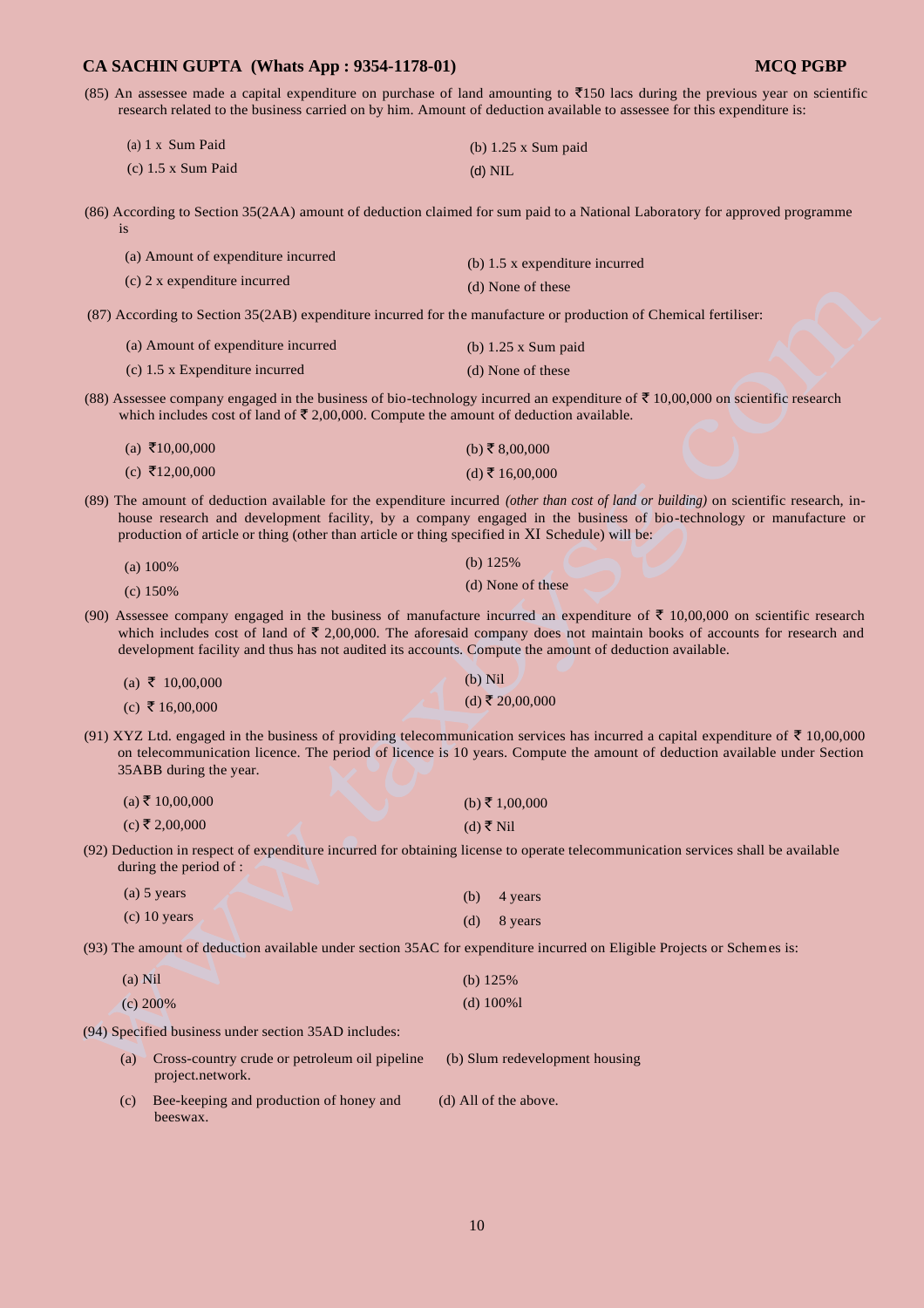(85) An assessee made a capital expenditure on purchase of land amounting to  $\overline{5150}$  lacs during the previous year on scientific research related to the business carried on by him. Amount of deduction available to assessee for this expenditure is:

| (a) $1 \times$ Sum Paid | (b) $1.25$ x Sum paid |
|-------------------------|-----------------------|
| $(c)$ 1.5 x Sum Paid    | $(d)$ NIL             |

(86) According to Section 35(2AA) amount of deduction claimed for sum paid to a National Laboratory for approved programme is

| (a) Amount of expenditure incurred | (b) $1.5$ x expenditure incurred |
|------------------------------------|----------------------------------|
| $(c)$ 2 x expenditure incurred     | (d) None of these                |

(87) According to Section 35(2AB) expenditure incurred for the manufacture or production of Chemical fertiliser:

| (a) Amount of expenditure incurred    | (b) $1.25$ x Sum paid |
|---------------------------------------|-----------------------|
| (c) $1.5 \times$ Expenditure incurred | (d) None of these     |

(88) Assessee company engaged in the business of bio-technology incurred an expenditure of  $\bar{\tau}$  10,00,000 on scientific research which includes cost of land of  $\bar{\tau}$  2,00,000. Compute the amount of deduction available.

| (a) ₹10,00,000 | (b) ₹ 8,00,000  |
|----------------|-----------------|
| (c) ₹12,00,000 | (d) ₹ 16,00,000 |

(89) The amount of deduction available for the expenditure incurred *(other than cost of land or building)* on scientific research, inhouse research and development facility, by a company engaged in the business of bio-technology or manufacture or production of article or thing (other than article or thing specified in XI Schedule) will be:

| (a) $100\%$ | (b) $125%$        |
|-------------|-------------------|
| $(c)$ 150%  | (d) None of these |

(90) Assessee company engaged in the business of manufacture incurred an expenditure of  $\bar{\tau}$  10,00,000 on scientific research which includes cost of land of  $\bar{\tau}$  2,00,000. The aforesaid company does not maintain books of accounts for research and development facility and thus has not audited its accounts. Compute the amount of deduction available.

| (a) ₹ 10,00,000 | $(b)$ Nil       |
|-----------------|-----------------|
| (c) ₹ 16,00,000 | (d) ₹ 20,00,000 |

(91) XYZ Ltd. engaged in the business of providing telecommunication services has incurred a capital expenditure of  $\bar{\tau}$  10,00,000 on telecommunication licence. The period of licence is 10 years. Compute the amount of deduction available under Section 35ABB during the year.

| $(a)$ ₹ 10,00,000 | (b) ₹ 1,00,000 |
|-------------------|----------------|
| (c) ₹ 2,00,000    | (d) ₹ Nil      |

(92) Deduction in respect of expenditure incurred for obtaining license to operate telecommunication services shall be available during the period of :

| $(a)$ 5 years  | (b) $4 \text{ years}$ |
|----------------|-----------------------|
| $(c)$ 10 years | $(d)$ 8 years         |

(93) The amount of deduction available under section 35AC for expenditure incurred on Eligible Projects or Schemes is:

| $(a)$ Nil   | (b) $125%$    |
|-------------|---------------|
| $(c) 200\%$ | (d) $100\%$ 1 |

(94) Specified business under section 35AD includes:

| (a) | Cross-country crude or petroleum oil pipeline<br>project.network. | (b) Slum redevelopment housing |
|-----|-------------------------------------------------------------------|--------------------------------|
| (c) | Bee-keeping and production of honey and<br>heesway                | (d) All of the above.          |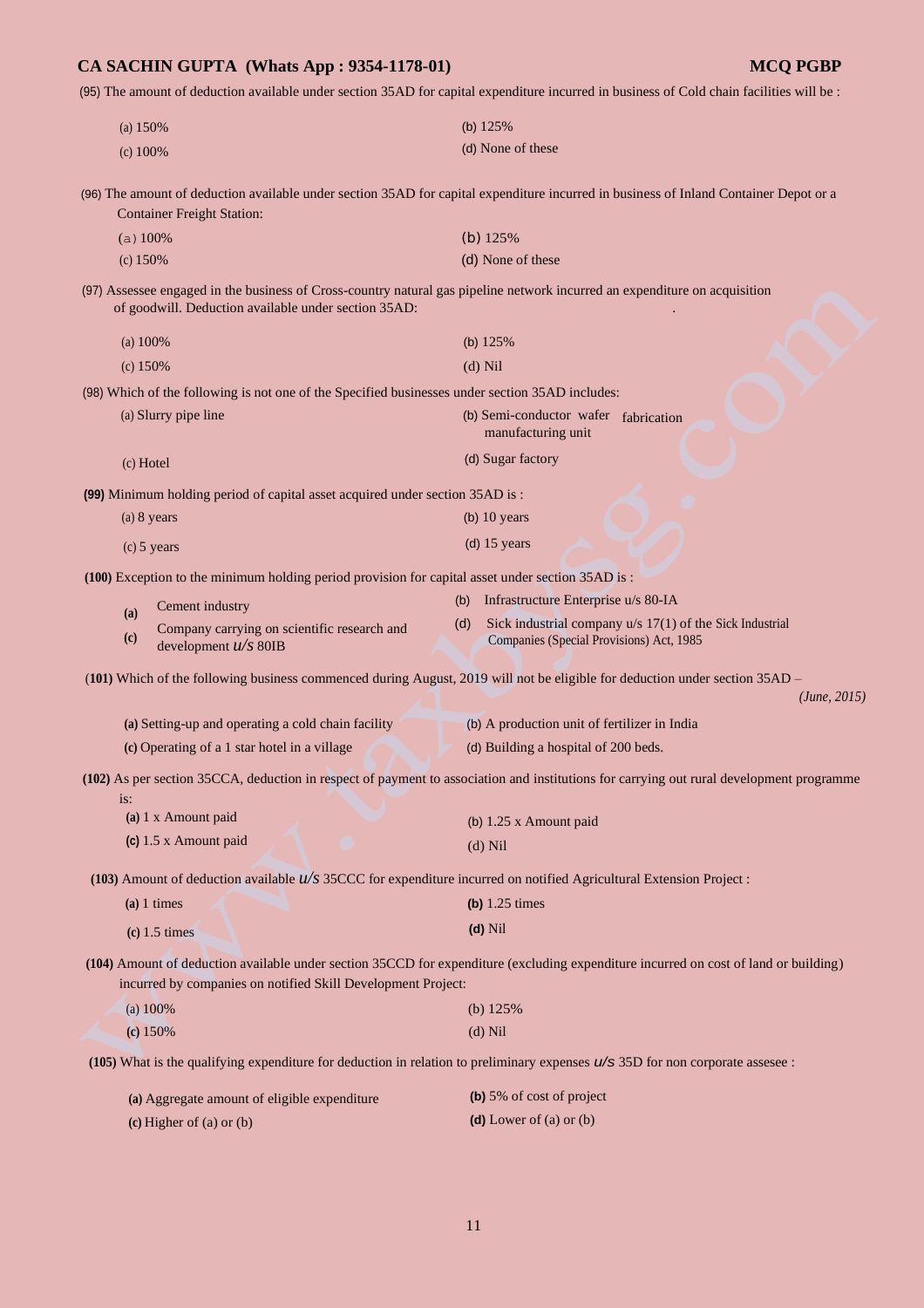(95) The amount of deduction available under section 35AD for capital expenditure incurred in business of Cold chain facilities will be :

| (a) $150\%$ | (b) $125%$        |
|-------------|-------------------|
| (c) $100\%$ | (d) None of these |

(96) The amount of deduction available under section 35AD for capital expenditure incurred in business of Inland Container Depot or a Container Freight Station:

| (a) $100\%$ | (b) $125%$        |
|-------------|-------------------|
| (c) $150\%$ | (d) None of these |

(97) Assessee engaged in the business of Cross-country natural gas pipeline network incurred an expenditure on acquisition of goodwill. Deduction available under section 35AD: .

| (a) 100%    | (b) $125%$ |
|-------------|------------|
| (c) $150\%$ | $(d)$ Nil  |

(98) Which of the following is not one of the Specified businesses under section 35AD includes:

(a) Slurry pipe line (b) Semi-conductor wafer fabrication manufacturing unit

| (c) Hotel | (d) Sugar factory |
|-----------|-------------------|
|-----------|-------------------|

**(99)** Minimum holding period of capital asset acquired under section 35AD is :

| $(a) 8$ years | (b) $10$ years |
|---------------|----------------|
| $(c)$ 5 years | (d) $15$ years |

**(100)** Exception to the minimum holding period provision for capital asset under section 35AD is :

| (a) | Cement industry                                    | (b) Infrastructure Enterprise $u/s$ 80-IA                      |
|-----|----------------------------------------------------|----------------------------------------------------------------|
|     | Company carrying on scientific research and        | (d) Sick industrial company $u/s$ 17(1) of the Sick Industrial |
|     | $1 \quad 1 \quad \ldots \quad \ldots \quad \ldots$ | Companies (Special Provisions) Act. 1985                       |

development *u/s* 80IB

(**101)** Which of the following business commenced during August, 2019 will not be eligible for deduction under section 35AD –

```
<i>(June, 2015) <i>(June, 2015) <i>(June, 2015)
      (a) Setting-up and operating a cold chain facility 
      (c) Operating of a 1 star hotel in a village 
                                                         (b) A production unit of fertilizer in India 
                                                         (d) Building a hospital of 200 beds. 
(102) As per section 35CCA, deduction in respect of payment to association and institutions for carrying out rural development programme 
     is: 
      (a) 1 x Amount paid 
                                                         (b) 1.25 x Amount paid
```
(d) Nil

**(c)** 1.5 x Amount paid

**(103)** Amount of deduction available *u/s* 35CCC for expenditure incurred on notified Agricultural Extension Project :

| $(a)$ 1 times   | (b) $1.25 \text{ times}$ |
|-----------------|--------------------------|
| $(c)$ 1.5 times | $(d)$ Nil                |

**(104)** Amount of deduction available under section 35CCD for expenditure (excluding expenditure incurred on cost of land or building) incurred by companies on notified Skill Development Project:

| (a) $100\%$ | (b) $125%$ |
|-------------|------------|
| (c) 150%    | $(d)$ Nil  |

**(105)** What is the qualifying expenditure for deduction in relation to preliminary expenses *u/s* 35D for non corporate assesee :

| (a) Aggregate amount of eligible expenditure | (b) 5% of cost of project |
|----------------------------------------------|---------------------------|
| (c) Higher of (a) or (b)                     | (d) Lower of (a) or $(b)$ |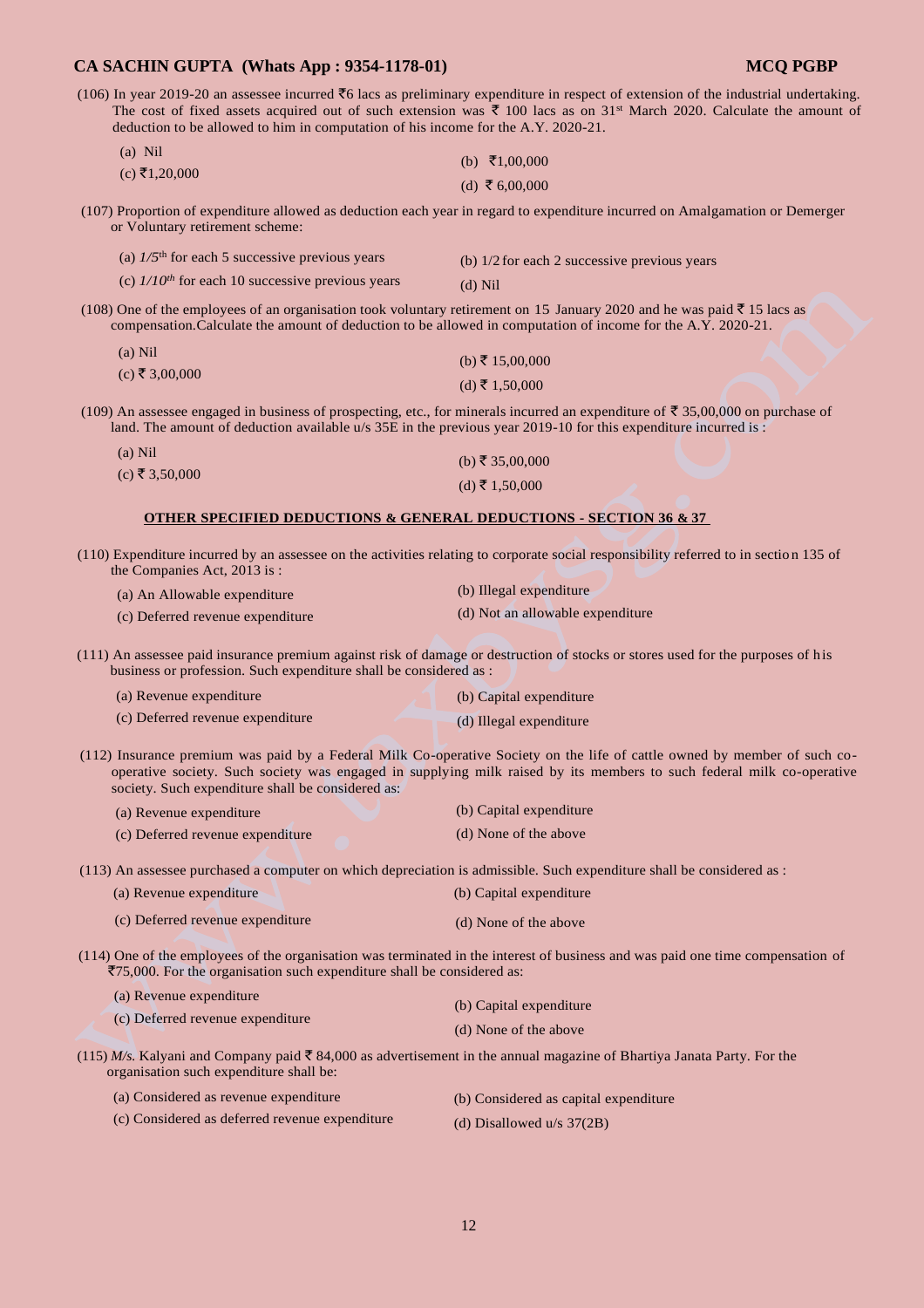(106) In year 2019-20 an assessee incurred  $\bar{\tau}$ 6 lacs as preliminary expenditure in respect of extension of the industrial undertaking. The cost of fixed assets acquired out of such extension was  $\bar{z}$  100 lacs as on 31<sup>st</sup> March 2020. Calculate the amount of deduction to be allowed to him in computation of his income for the A.Y. 2020-21.

| (a) Nil       | (b) $\bar{\tau}1,00,000$ |
|---------------|--------------------------|
| (c) ₹1,20,000 |                          |
|               | (d) ₹6,00,000            |

(107) Proportion of expenditure allowed as deduction each year in regard to expenditure incurred on Amalgamation or Demerger or Voluntary retirement scheme:

| (a) $1/5$ <sup>th</sup> for each 5 successive previous years | (b) $1/2$ for each 2 successive previous years |
|--------------------------------------------------------------|------------------------------------------------|
| (c) $1/10^{th}$ for each 10 successive previous years        | $(d)$ Nil                                      |

(108) One of the employees of an organisation took voluntary retirement on 15 January 2020 and he was paid  $\bar{\mathfrak{Z}}$  15 lacs as compensation.Calculate the amount of deduction to be allowed in computation of income for the A.Y. 2020-21.

| $(a)$ Nil        | (b) ₹ 15,00,000 |
|------------------|-----------------|
| $(c)$ ₹ 3,00,000 |                 |
|                  | (d) ₹ 1,50,000  |

(109) An assessee engaged in business of prospecting, etc., for minerals incurred an expenditure of  $\bar{\tau}$  35,00,000 on purchase of land. The amount of deduction available u/s 35E in the previous year 2019-10 for this expenditure incurred is :

| (a) Nil          | (b) ₹ 35,00,000 |
|------------------|-----------------|
| $(c)$ ₹ 3,50,000 |                 |
|                  | (d) ₹ 1,50,000  |

#### **OTHER SPECIFIED DEDUCTIONS & GENERAL DEDUCTIONS - SECTION 36 & 37**

(110) Expenditure incurred by an assessee on the activities relating to corporate social responsibility referred to in sectio n 135 of the Companies Act, 2013 is :

| (a) An Allowable expenditure     | (b) Illegal expenditure          |
|----------------------------------|----------------------------------|
| (c) Deferred revenue expenditure | (d) Not an allowable expenditure |

(111) An assessee paid insurance premium against risk of damage or destruction of stocks or stores used for the purposes of his business or profession. Such expenditure shall be considered as :

| (a) Revenue expenditure          | (b) Capital expenditure |
|----------------------------------|-------------------------|
| (c) Deferred revenue expenditure | (d) Illegal expenditure |

(112) Insurance premium was paid by a Federal Milk Co-operative Society on the life of cattle owned by member of such cooperative society. Such society was engaged in supplying milk raised by its members to such federal milk co-operative society. Such expenditure shall be considered as:

| (a) Revenue expenditure          | (b) Capital expenditure |
|----------------------------------|-------------------------|
| (c) Deferred revenue expenditure | (d) None of the above   |

(113) An assessee purchased a computer on which depreciation is admissible. Such expenditure shall be considered as :

| (a) Revenue expenditure | (b) Capital expenditure |
|-------------------------|-------------------------|
|                         |                         |

| (c) Deferred revenue expenditure | (d) None of the above |
|----------------------------------|-----------------------|
|----------------------------------|-----------------------|

(114) One of the employees of the organisation was terminated in the interest of business and was paid one time compensation of  $\overline{575,000}$ . For the organisation such expenditure shall be considered as:

| (a) Revenue expenditure          | (b) Capital expenditure |
|----------------------------------|-------------------------|
| (c) Deferred revenue expenditure |                         |
|                                  | (d) None of the above   |

(115)  $M/s$ . Kalyani and Company paid  $\overline{\xi}$  84,000 as advertisement in the annual magazine of Bhartiya Janata Party. For the organisation such expenditure shall be:

| (a) Considered as revenue expenditure          | (b) Considered as capital expenditure |
|------------------------------------------------|---------------------------------------|
| (c) Considered as deferred revenue expenditure | (d) Disallowed $u/s$ 37(2B)           |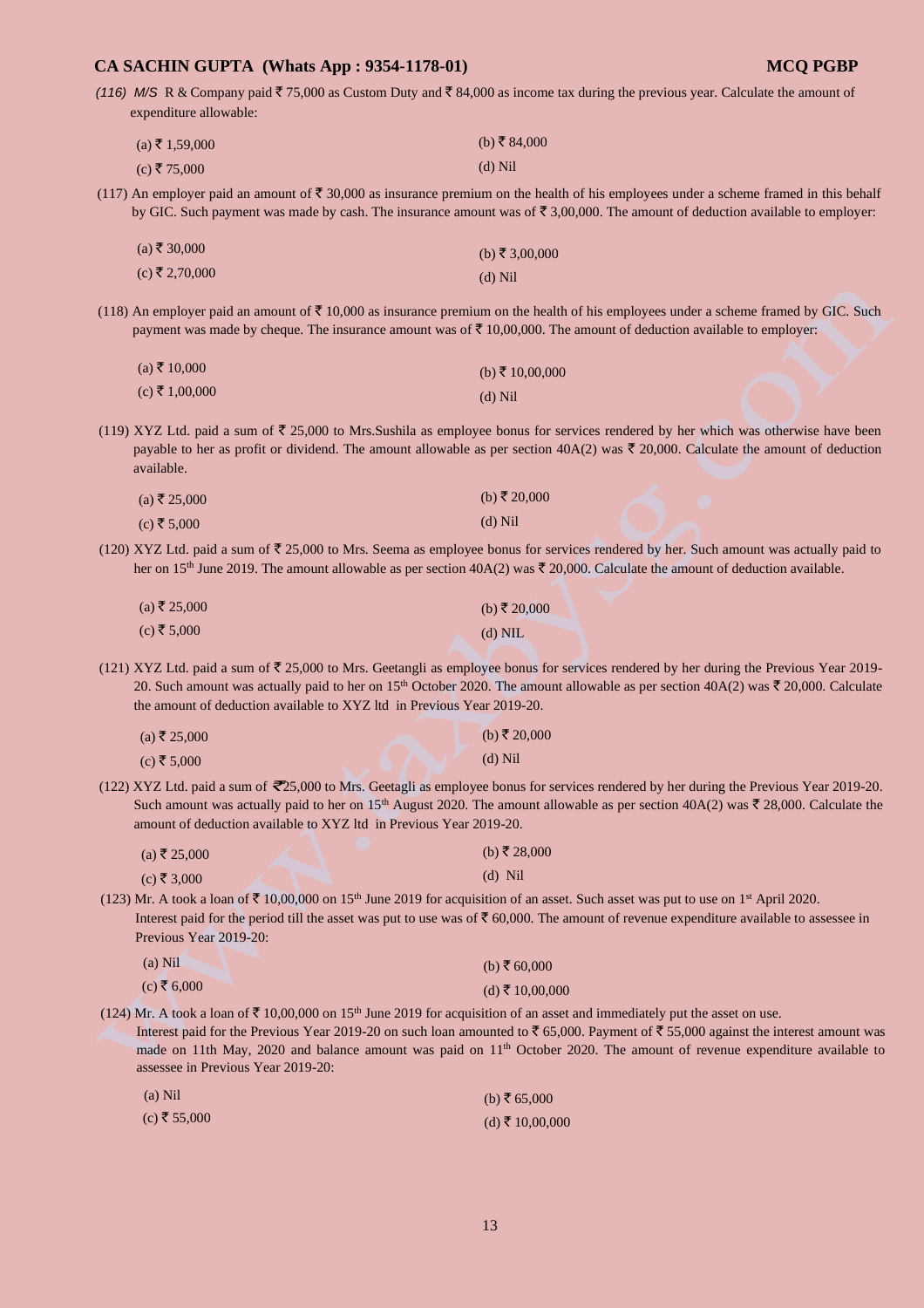(116) *M/S* R & Company paid  $\overline{5}$  75,000 as Custom Duty and  $\overline{5}$  84,000 as income tax during the previous year. Calculate the amount of expenditure allowable:

| $(a)$ ₹ 1,59,000 | (b) ₹ 84,000 |
|------------------|--------------|
| (c) ₹75,000      | $(d)$ Nil    |

(117) An employer paid an amount of  $\bar{\tau}$  30,000 as insurance premium on the health of his employees under a scheme framed in this behalf by GIC. Such payment was made by cash. The insurance amount was of  $\overline{5}$  3,00,000. The amount of deduction available to employer:

| $(a)$ ₹ 30,000   | (b) ₹ 3,00,000 |
|------------------|----------------|
| $(c)$ ₹ 2,70,000 | $(d)$ Nil      |

(118) An employer paid an amount of  $\bar{\tau}$  10,000 as insurance premium on the health of his employees under a scheme framed by GIC. Such payment was made by cheque. The insurance amount was of  $\bar{\tau}$  10,00,000. The amount of deduction available to employer:

| $(a)$ ₹ 10,000   | (b) ₹ 10,00,000 |
|------------------|-----------------|
| $(c)$ ₹ 1,00,000 | $(d)$ Nil       |

(119) XYZ Ltd. paid a sum of  $\overline{\xi}$  25,000 to Mrs.Sushila as employee bonus for services rendered by her which was otherwise have been payable to her as profit or dividend. The amount allowable as per section  $40A(2)$  was  $\bar{\ell}$  20,000. Calculate the amount of deduction available.

| $(a)$ ₹ 25,000 | (b) ₹ 20,000 |
|----------------|--------------|
| (c) ₹ 5,000    | $(d)$ Nil    |

(120) XYZ Ltd. paid a sum of  $\overline{5}$  25,000 to Mrs. Seema as employee bonus for services rendered by her. Such amount was actually paid to her on 15<sup>th</sup> June 2019. The amount allowable as per section 40A(2) was  $\overline{\ell}$  20,000. Calculate the amount of deduction available.

| $(a)$ ₹ 25,000 | (b) ₹ 20,000 |
|----------------|--------------|
| (c) ₹ 5,000    | $(d)$ NIL    |

(121) XYZ Ltd. paid a sum of  $\overline{5}$  25,000 to Mrs. Geetangli as employee bonus for services rendered by her during the Previous Year 2019-20. Such amount was actually paid to her on 15<sup>th</sup> October 2020. The amount allowable as per section 40A(2) was  $\bar{\mathcal{R}}$  20,000. Calculate the amount of deduction available to XYZ ltd in Previous Year 2019-20.

| (a) ₹ 25,000  | (b) ₹ 20,000 |
|---------------|--------------|
| $(c)$ ₹ 5,000 | $(d)$ Nil    |

(122) XYZ Ltd. paid a sum of  $\overline{2}25,000$  to Mrs. Geetagli as employee bonus for services rendered by her during the Previous Year 2019-20. Such amount was actually paid to her on 15<sup>th</sup> August 2020. The amount allowable as per section 40A(2) was  $\bar{\zeta}$  28,000. Calculate the amount of deduction available to XYZ ltd in Previous Year 2019-20.

| (a) ₹ 25,000 | (b) ₹ 28,000 |
|--------------|--------------|
| (c) ₹ 3,000  | $(d)$ Nil    |

(123) Mr. A took a loan of  $\bar{\mathfrak{r}}$  10,00,000 on 15<sup>th</sup> June 2019 for acquisition of an asset. Such asset was put to use on 1<sup>st</sup> April 2020. Interest paid for the period till the asset was put to use was of  $\bar{\tau}$  60,000. The amount of revenue expenditure available to assessee in Previous Year 2019-20:

| $(a)$ Nil     | (b) ₹ $60,000$  |
|---------------|-----------------|
| $(c)$ ₹ 6,000 | (d) ₹ 10,00,000 |

(124) Mr. A took a loan of  $\bar{\tau}$  10,00,000 on 15<sup>th</sup> June 2019 for acquisition of an asset and immediately put the asset on use.

Interest paid for the Previous Year 2019-20 on such loan amounted to  $\bar{z}$  65,000. Payment of  $\bar{z}$  55,000 against the interest amount was made on 11th May, 2020 and balance amount was paid on 11<sup>th</sup> October 2020. The amount of revenue expenditure available to assessee in Previous Year 2019-20:

| $(a)$ Nil      | (b) ₹ 65,000    |
|----------------|-----------------|
| $(c)$ ₹ 55,000 | (d) ₹ 10,00,000 |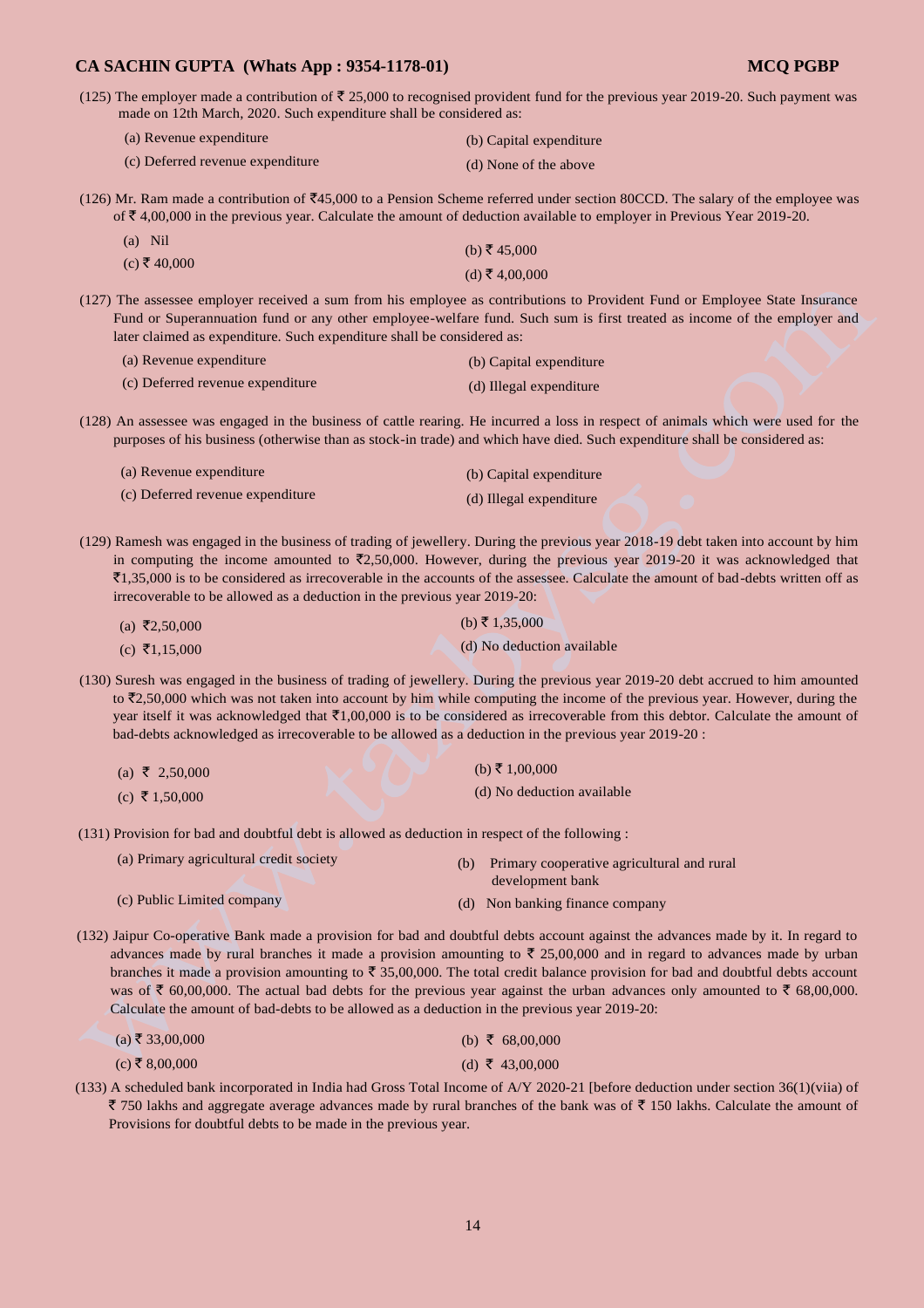(125) The employer made a contribution of  $\bar{\ell}$  25,000 to recognised provident fund for the previous year 2019-20. Such payment was made on 12th March, 2020. Such expenditure shall be considered as:

| (a) Revenue expenditure          | (b) Capital expenditure |
|----------------------------------|-------------------------|
| (c) Deferred revenue expenditure | (d) None of the above   |

(126) Mr. Ram made a contribution of  $\overline{5}45,000$  to a Pension Scheme referred under section 80CCD. The salary of the employee was of  $\bar{\mathcal{F}}$  4,00,000 in the previous year. Calculate the amount of deduction available to employer in Previous Year 2019-20.

| $(a)$ Nil    | (b) ₹ 45,000   |
|--------------|----------------|
| (c) ₹ 40,000 |                |
|              | (d) ₹ 4,00,000 |

(127) The assessee employer received a sum from his employee as contributions to Provident Fund or Employee State Insurance Fund or Superannuation fund or any other employee-welfare fund. Such sum is first treated as income of the employer and later claimed as expenditure. Such expenditure shall be considered as:

| (a) Revenue expenditure          | (b) Capital expenditure |
|----------------------------------|-------------------------|
| (c) Deferred revenue expenditure | (d) Illegal expenditure |

(128) An assessee was engaged in the business of cattle rearing. He incurred a loss in respect of animals which were used for the purposes of his business (otherwise than as stock-in trade) and which have died. Such expenditure shall be considered as:

| (a) Revenue expenditure          | (b) Capital expenditure |
|----------------------------------|-------------------------|
| (c) Deferred revenue expenditure | (d) Illegal expenditure |

(129) Ramesh was engaged in the business of trading of jewellery. During the previous year 2018-19 debt taken into account by him in computing the income amounted to  $\bar{\mathfrak{Z}}2,50,000$ . However, during the previous year 2019-20 it was acknowledged that  $\bar{\xi}1,35,000$  is to be considered as irrecoverable in the accounts of the assessee. Calculate the amount of bad-debts written off as irrecoverable to be allowed as a deduction in the previous year 2019-20:

| (a) ₹2,50,000 | (b) ₹ 1,35,000             |
|---------------|----------------------------|
| (c) ₹1,15,000 | (d) No deduction available |

(130) Suresh was engaged in the business of trading of jewellery. During the previous year 2019-20 debt accrued to him amounted to  $\bar{\mathcal{L}}$ ,50,000 which was not taken into account by him while computing the income of the previous year. However, during the year itself it was acknowledged that  $\bar{z}1,00,000$  is to be considered as irrecoverable from this debtor. Calculate the amount of bad-debts acknowledged as irrecoverable to be allowed as a deduction in the previous year 2019-20 :

| (a) ₹ 2,50,000 | (b) ₹ 1,00,000             |
|----------------|----------------------------|
| (c) ₹ 1,50,000 | (d) No deduction available |

(131) Provision for bad and doubtful debt is allowed as deduction in respect of the following :

| (a) Primary agricultural credit society | (b) Primary cooperative agricultural and rural |
|-----------------------------------------|------------------------------------------------|
|                                         | development bank                               |

- (d) Non banking finance company (c) Public Limited company
- (132) Jaipur Co-operative Bank made a provision for bad and doubtful debts account against the advances made by it. In regard to advances made by rural branches it made a provision amounting to  $\bar{\tau}$  25,00,000 and in regard to advances made by urban branches it made a provision amounting to  $\bar{\tau}$  35,00,000. The total credit balance provision for bad and doubtful debts account was of  $\bar{\tau}$  60,00,000. The actual bad debts for the previous year against the urban advances only amounted to  $\bar{\tau}$  68,00,000. Calculate the amount of bad-debts to be allowed as a deduction in the previous year 2019-20:

| $(a)$ ₹ 33,00,000 |  | (b) ₹ 68,00,000 |
|-------------------|--|-----------------|
| (c) ₹ 8,00,000    |  | (d) ₹ 43,00,000 |

(133) A scheduled bank incorporated in India had Gross Total Income of A/Y 2020-21 [before deduction under section 36(1)(viia) of  $\bar{\xi}$  750 lakhs and aggregate average advances made by rural branches of the bank was of  $\bar{\xi}$  150 lakhs. Calculate the amount of Provisions for doubtful debts to be made in the previous year.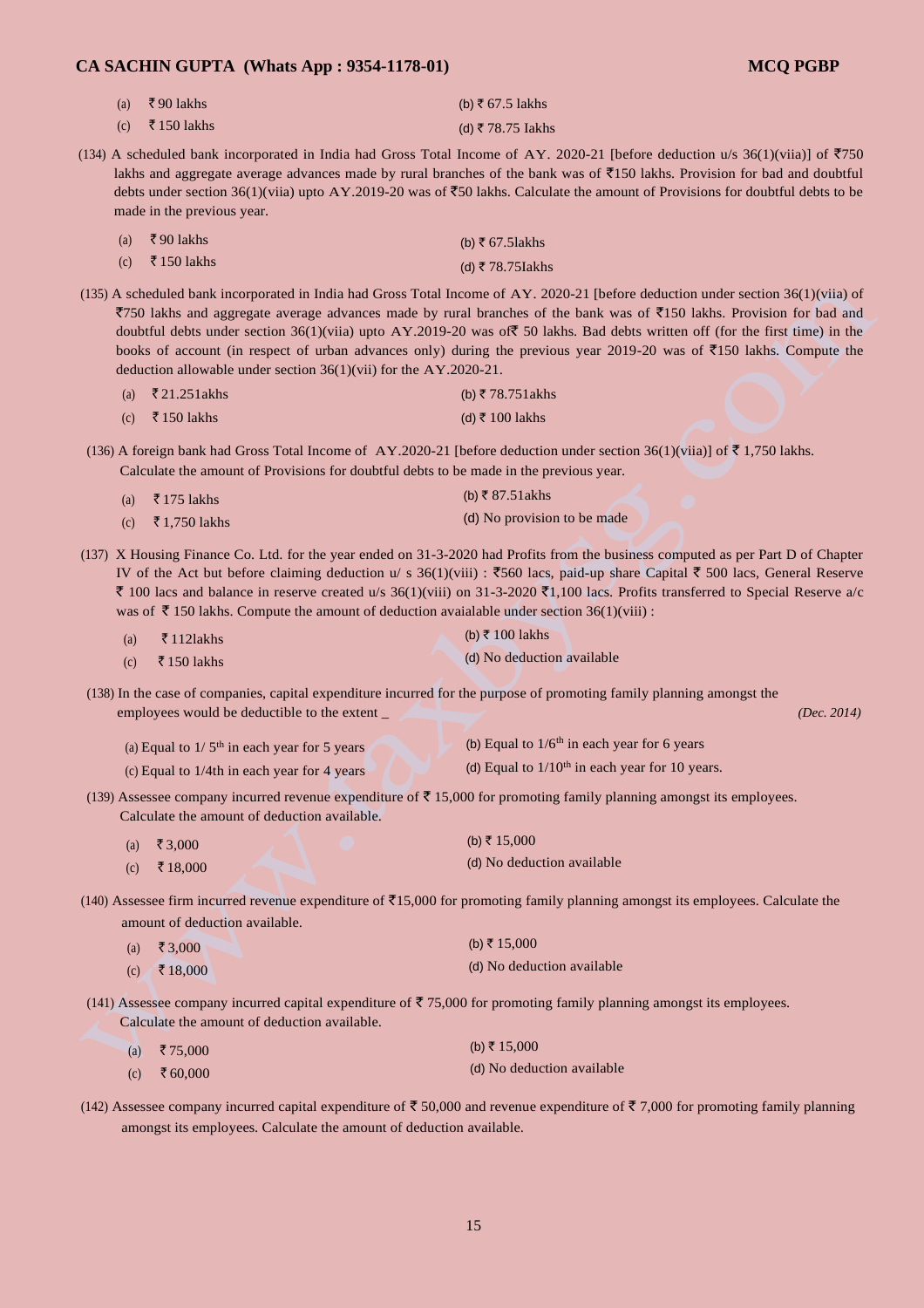| (a) $\bar{\tau}$ 90 lakhs  | (b) ₹ 67.5 lakhs                |
|----------------------------|---------------------------------|
| (c) $\bar{\tau}$ 150 lakhs | $(d)$ $\overline{z}$ 78 75 Jakh |

- (d) ₹ 78.75 Iakhs
- (134) A scheduled bank incorporated in India had Gross Total Income of AY. 2020-21 [before deduction u/s 36(1)(viia)] of  $\overline{5750}$ lakhs and aggregate average advances made by rural branches of the bank was of  $\overline{5}150$  lakhs. Provision for bad and doubtful debts under section 36(1)(viia) upto AY.2019-20 was of  $\overline{50}$  lakhs. Calculate the amount of Provisions for doubtful debts to be made in the previous year.

| (a) ₹90 lakhs              | (b) $\bar{\tau}$ 67.5 lakhs |
|----------------------------|-----------------------------|
| (c) $\bar{\tau}$ 150 lakhs | (d) ₹ 78.75Iakhs            |

(135) A scheduled bank incorporated in India had Gross Total Income of AY. 2020-21 [before deduction under section 36(1)(viia) of  $\overline{5750}$  lakhs and aggregate average advances made by rural branches of the bank was of  $\overline{5150}$  lakhs. Provision for bad and doubtful debts under section 36(1)(viia) upto AY.2019-20 was of  $\overline{\mathfrak{g}}$  50 lakhs. Bad debts written off (for the first time) in the books of account (in respect of urban advances only) during the previous year 2019-20 was of  $\overline{5}150$  lakhs. Compute the deduction allowable under section 36(1)(vii) for the AY.2020-21.

| (a) $\bar{\xi}$ 21.251 akhs | (b) ₹ 78.751 akhs |
|-----------------------------|-------------------|
| (c) ₹150 lakhs              | (d) ₹ 100 lakhs   |

(136) A foreign bank had Gross Total Income of AY.2020-21 [before deduction under section 36(1)(viia)] of  $\bar{\bar{\xi}}$  1,750 lakhs. Calculate the amount of Provisions for doubtful debts to be made in the previous year.

| (a) $\bar{\tau}$ 175 lakhs | (b) ₹ 87.51 akhs            |
|----------------------------|-----------------------------|
| (c) ₹1,750 lakhs           | (d) No provision to be made |

(137) X Housing Finance Co. Ltd. for the year ended on 31-3-2020 had Profits from the business computed as per Part D of Chapter IV of the Act but before claiming deduction u/ s 36(1)(viii) :  $\overline{5}$ 560 lacs, paid-up share Capital  $\overline{5}$  500 lacs, General Reserve  $\bar{\tau}$  100 lacs and balance in reserve created u/s 36(1)(viii) on 31-3-2020  $\bar{\tau}$ 1,100 lacs. Profits transferred to Special Reserve a/c was of  $\bar{\tau}$  150 lakhs. Compute the amount of deduction avaialable under section 36(1)(viii) :

| (a) | ₹ 1121akhs     | (b) ₹ 100 lakhs            |
|-----|----------------|----------------------------|
|     | (c) ₹150 lakhs | (d) No deduction available |

(138) In the case of companies, capital expenditure incurred for the purpose of promoting family planning amongst the employees would be deductible to the extent \_ *(Dec. 2014) (Dec. 2014) (Dec. 2014)* 

(a) Equal to  $1/5<sup>th</sup>$  in each year for 5 years (c) Equal to 1/4th in each year for 4 years (b) Equal to  $1/6<sup>th</sup>$  in each year for 6 years (d) Equal to  $1/10<sup>th</sup>$  in each year for 10 years.

(139) Assessee company incurred revenue expenditure of  $\bar{\tau}$  15,000 for promoting family planning amongst its employees. Calculate the amount of deduction available.

| (a) ₹3,000  | (b) ₹ 15,000               |
|-------------|----------------------------|
| (c) ₹18,000 | (d) No deduction available |

 $(140)$  Assessee firm incurred revenue expenditure of  $\overline{515,000}$  for promoting family planning amongst its employees. Calculate the amount of deduction available.

| (a) ₹3,000  | (b) ₹ 15,000               |
|-------------|----------------------------|
| (c) ₹18,000 | (d) No deduction available |

(141) Assessee company incurred capital expenditure of  $\bar{\tau}$  75,000 for promoting family planning amongst its employees. Calculate the amount of deduction available.

| (a) ₹75,000 | (b) ₹ 15,000               |
|-------------|----------------------------|
| (c) ₹60,000 | (d) No deduction available |

(142) Assessee company incurred capital expenditure of  $\bar{\tau}$  50,000 and revenue expenditure of  $\bar{\tau}$  7,000 for promoting family planning amongst its employees. Calculate the amount of deduction available.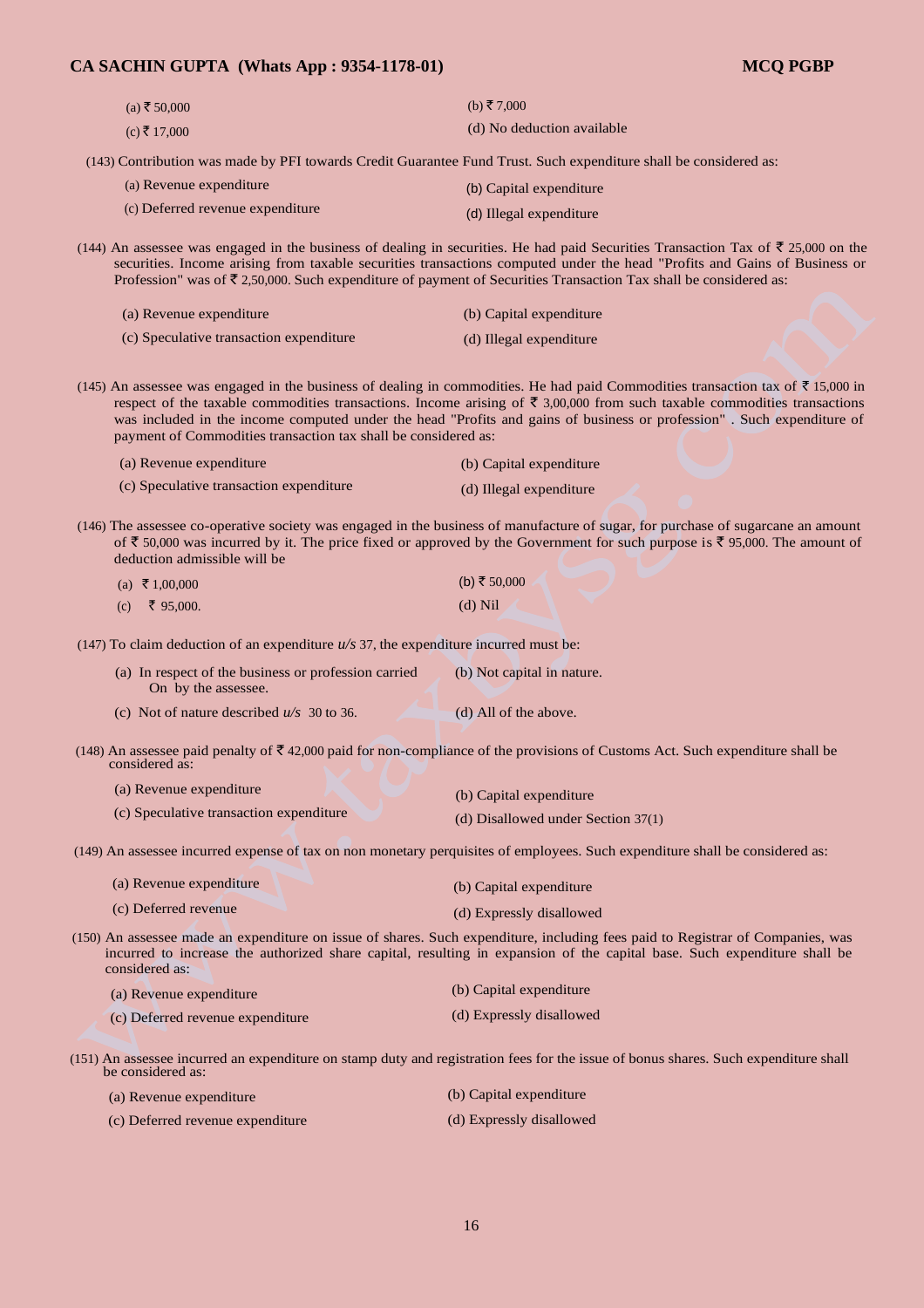| $(a)$ ₹ 50,000 | (b) ₹7,000                 |
|----------------|----------------------------|
| (c) ₹ 17,000   | (d) No deduction available |

(143) Contribution was made by PFI towards Credit Guarantee Fund Trust. Such expenditure shall be considered as:

| (a) Revenue expenditure          | (b) Capital expenditure |
|----------------------------------|-------------------------|
| (c) Deferred revenue expenditure | (d) Illegal expenditure |

(144) An assessee was engaged in the business of dealing in securities. He had paid Securities Transaction Tax of  $\bar{\tau}$  25,000 on the securities. Income arising from taxable securities transactions computed under the head "Profits and Gains of Business or Profession" was of  $\bar{\tau}$  2,50,000. Such expenditure of payment of Securities Transaction Tax shall be considered as:

| (a) Revenue expenditure                 | (b) Capital expenditure |
|-----------------------------------------|-------------------------|
| (c) Speculative transaction expenditure | (d) Illegal expenditure |

(145) An assessee was engaged in the business of dealing in commodities. He had paid Commodities transaction tax of  $\bar{\tau}$  15,000 in respect of the taxable commodities transactions. Income arising of  $\bar{\tau}$  3,00,000 from such taxable commodities transactions was included in the income computed under the head "Profits and gains of business or profession" . Such expenditure of payment of Commodities transaction tax shall be considered as:

| (a) Revenue expenditure                 | (b) Capital expenditure |
|-----------------------------------------|-------------------------|
| (c) Speculative transaction expenditure | (d) Illegal expenditure |

(146) The assessee co-operative society was engaged in the business of manufacture of sugar, for purchase of sugarcane an amount of  $\bar{\xi}$  50,000 was incurred by it. The price fixed or approved by the Government for such purpose is  $\bar{\xi}$  95,000. The amount of deduction admissible will be

| (a) ₹ 1,00,000 | (b) ₹ 50,000 |
|----------------|--------------|
| (c) ₹ 95,000.  | $(d)$ Nil    |

(147) To claim deduction of an expenditure *u/s* 37, the expenditure incurred must be:

| (a) In respect of the business or profession carried | (b) Not capital in nature. |
|------------------------------------------------------|----------------------------|
| On by the assessee.                                  |                            |
| (c) Not of nature described $u/s$ 30 to 36.          | (d) All of the above.      |

(148) An assessee paid penalty of  $\bar{\tau}$  42,000 paid for non-compliance of the provisions of Customs Act. Such expenditure shall be considered as:

| (a) Revenue expenditure                 | (b) Capital expenditure              |
|-----------------------------------------|--------------------------------------|
| (c) Speculative transaction expenditure | (d) Disallowed under Section $37(1)$ |

(149) An assessee incurred expense of tax on non monetary perquisites of employees. Such expenditure shall be considered as:

| (a) Revenue expenditure | (b) Capital expenditure  |
|-------------------------|--------------------------|
| (c) Deferred revenue    | (d) Expressly disallowed |

(150) An assessee made an expenditure on issue of shares. Such expenditure, including fees paid to Registrar of Companies, was incurred to increase the authorized share capital, resulting in expansion of the capital base. Such expenditure shall be considered as:

| (a) Revenue expenditure          | (b) Capital expenditure  |
|----------------------------------|--------------------------|
| (c) Deferred revenue expenditure | (d) Expressly disallowed |

(151) An assessee incurred an expenditure on stamp duty and registration fees for the issue of bonus shares. Such expenditure shall be considered as:

| (a) Revenue expenditure          | (b) Capital expenditure  |  |  |
|----------------------------------|--------------------------|--|--|
| (c) Deferred revenue expenditure | (d) Expressly disallowed |  |  |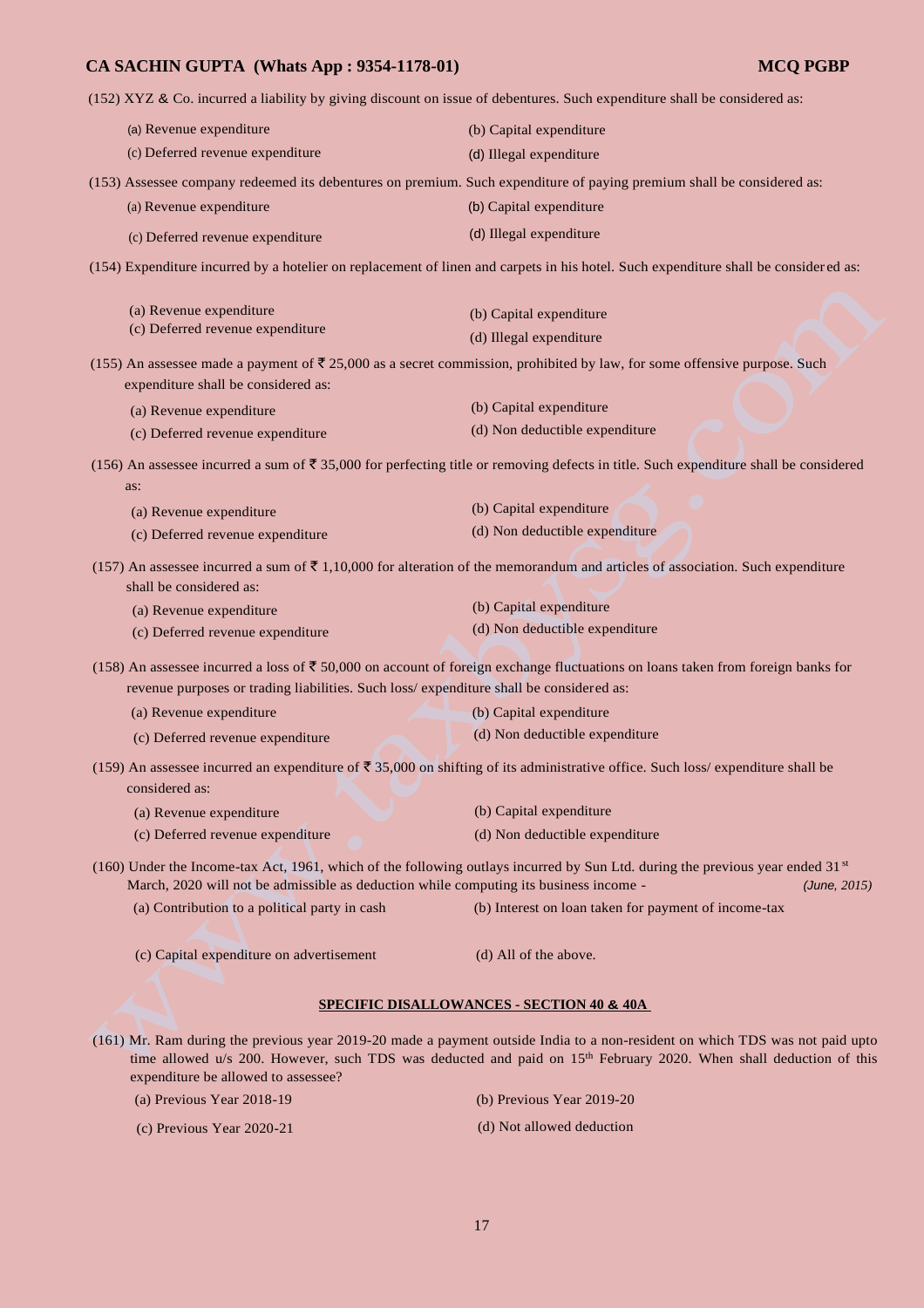(152) XYZ & Co. incurred a liability by giving discount on issue of debentures. Such expenditure shall be considered as:

| (a) Revenue expenditure                                                                                                                                                   | (b) Capital expenditure                                                                                                                                   |  |
|---------------------------------------------------------------------------------------------------------------------------------------------------------------------------|-----------------------------------------------------------------------------------------------------------------------------------------------------------|--|
| (c) Deferred revenue expenditure                                                                                                                                          | (d) Illegal expenditure                                                                                                                                   |  |
| (153) Assessee company redeemed its debentures on premium. Such expenditure of paying premium shall be considered as:                                                     |                                                                                                                                                           |  |
| (a) Revenue expenditure                                                                                                                                                   | (b) Capital expenditure                                                                                                                                   |  |
| (c) Deferred revenue expenditure                                                                                                                                          | (d) Illegal expenditure                                                                                                                                   |  |
|                                                                                                                                                                           | (154) Expenditure incurred by a hotelier on replacement of linen and carpets in his hotel. Such expenditure shall be considered as:                       |  |
| (a) Revenue expenditure                                                                                                                                                   | (b) Capital expenditure                                                                                                                                   |  |
| (c) Deferred revenue expenditure                                                                                                                                          | (d) Illegal expenditure                                                                                                                                   |  |
| (155) An assessee made a payment of $\bar{\xi}$ 25,000 as a secret commission, prohibited by law, for some offensive purpose. Such<br>expenditure shall be considered as: |                                                                                                                                                           |  |
| (a) Revenue expenditure                                                                                                                                                   | (b) Capital expenditure                                                                                                                                   |  |
| (c) Deferred revenue expenditure                                                                                                                                          | (d) Non deductible expenditure                                                                                                                            |  |
| as:                                                                                                                                                                       | (156) An assessee incurred a sum of $\bar{\tau}$ 35,000 for perfecting title or removing defects in title. Such expenditure shall be considered           |  |
| (a) Revenue expenditure                                                                                                                                                   | (b) Capital expenditure                                                                                                                                   |  |
| (c) Deferred revenue expenditure                                                                                                                                          | (d) Non deductible expenditure                                                                                                                            |  |
| shall be considered as:                                                                                                                                                   | (157) An assessee incurred a sum of $\bar{\tau}$ 1,10,000 for alteration of the memorandum and articles of association. Such expenditure                  |  |
| (a) Revenue expenditure                                                                                                                                                   | (b) Capital expenditure                                                                                                                                   |  |
| (c) Deferred revenue expenditure                                                                                                                                          | (d) Non deductible expenditure                                                                                                                            |  |
| revenue purposes or trading liabilities. Such loss/expenditure shall be considered as:                                                                                    | (158) An assessee incurred a loss of $\bar{\tau}$ 50,000 on account of foreign exchange fluctuations on loans taken from foreign banks for                |  |
| (a) Revenue expenditure                                                                                                                                                   | (b) Capital expenditure                                                                                                                                   |  |
| (c) Deferred revenue expenditure                                                                                                                                          | (d) Non deductible expenditure                                                                                                                            |  |
| considered as:                                                                                                                                                            | (159) An assessee incurred an expenditure of $\overline{\mathfrak{S}}$ 35,000 on shifting of its administrative office. Such loss/expenditure shall be    |  |
| (a) Revenue expenditure                                                                                                                                                   | (b) Capital expenditure                                                                                                                                   |  |
| (c) Deferred revenue expenditure                                                                                                                                          | (d) Non deductible expenditure                                                                                                                            |  |
| March, 2020 will not be admissible as deduction while computing its business income -                                                                                     | (160) Under the Income-tax Act, 1961, which of the following outlays incurred by Sun Ltd. during the previous year ended 31 <sup>st</sup><br>(June, 2015) |  |
| (a) Contribution to a political party in cash                                                                                                                             | (b) Interest on loan taken for payment of income-tax                                                                                                      |  |
| (c) Capital expenditure on advertisement                                                                                                                                  | (d) All of the above.                                                                                                                                     |  |
| <b>SPECIFIC DISALLOWANCES - SECTION 40 &amp; 40A</b>                                                                                                                      |                                                                                                                                                           |  |
|                                                                                                                                                                           | (161) Mr. Ram during the previous year 2019-20 made a payment outside India to a non-resident on which TDS was not paid upto                              |  |

- time allowed u/s 200. However, such TDS was deducted and paid on 15<sup>th</sup> February 2020. When shall deduction of this expenditure be allowed to assessee?
	-
	-
	- (a) Previous Year 2018-19 (b) Previous Year 2019-20
	- (c) Previous Year 2020-21 (d) Not allowed deduction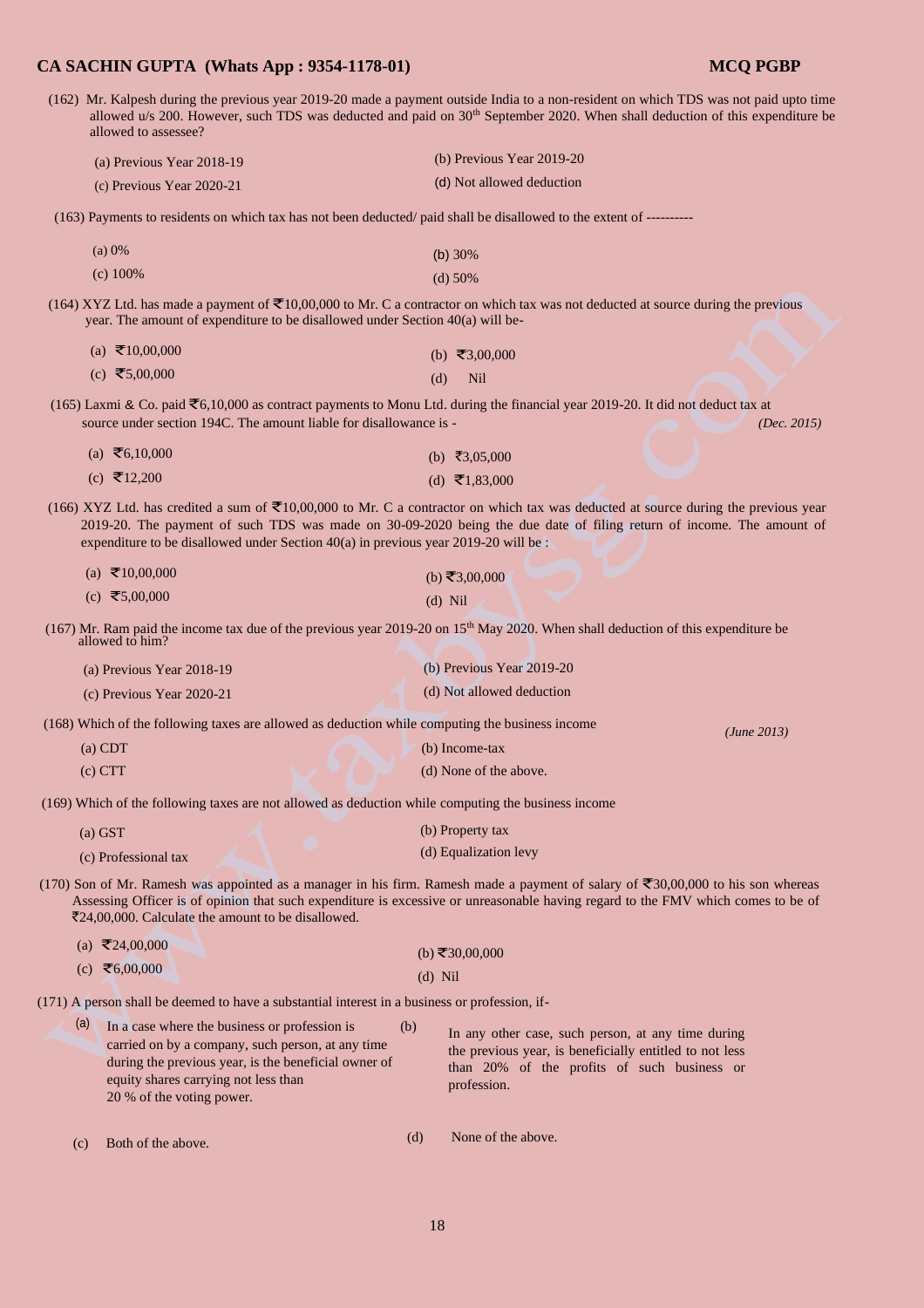*(June 2013)* 

(162) Mr. Kalpesh during the previous year 2019-20 made a payment outside India to a non-resident on which TDS was not paid upto time allowed u/s 200. However, such TDS was deducted and paid on  $30<sup>th</sup>$  September 2020. When shall deduction of this expenditure be allowed to assessee?

| (a) Previous Year $2018-19$ | (b) Previous Year $2019-20$ |
|-----------------------------|-----------------------------|
| (c) Previous Year $2020-21$ | (d) Not allowed deduction   |

(163) Payments to residents on which tax has not been deducted/ paid shall be disallowed to the extent of ----------

| $(a) 0\%$  | (b) $30\%$ |
|------------|------------|
| $(c)$ 100% | (d) $50\%$ |

(164) XYZ Ltd. has made a payment of  $\bar{\mathbf{z}}$ 10,00,000 to Mr. C a contractor on which tax was not deducted at source during the previous year. The amount of expenditure to be disallowed under Section 40(a) will be-

| (a) ₹10,00,000 | (b) ₹3,00,000 |
|----------------|---------------|
| (c) ₹5,00,000  | $(d)$ Nil     |

(165) Laxmi & Co. paid  $\overline{\mathfrak{S}}$ 6,10,000 as contract payments to Monu Ltd. during the financial year 2019-20. It did not deduct tax at source under section 194C. The amount liable for disallowance is - *(Dec. 2015) (Dec. 2015)* 

| (a) ₹6,10,000 | (b) $\bar{x}3,05,000$ |
|---------------|-----------------------|
| (c) ₹12,200   | (d) ₹1,83,000         |

(166) XYZ Ltd. has credited a sum of  $\overline{5}10,00,000$  to Mr. C a contractor on which tax was deducted at source during the previous year 2019-20. The payment of such TDS was made on 30-09-2020 being the due date of filing return of income. The amount of expenditure to be disallowed under Section 40(a) in previous year 2019-20 will be :

| (a) ₹10,00,000 | (b) ₹3,00,000 |
|----------------|---------------|
| (c) ₹5,00,000  | $(d)$ Nil     |

(167) Mr. Ram paid the income tax due of the previous year 2019-20 on  $15<sup>th</sup>$  May 2020. When shall deduction of this expenditure be allowed to him?

| (a) Previous Year 2018-19                                                               | (b) Previous Year 2019-20 |
|-----------------------------------------------------------------------------------------|---------------------------|
| (c) Previous Year $2020-21$                                                             | (d) Not allowed deduction |
| Which of the following taxes are allowed as deduction while computing the business inco |                           |

(168) Which of the following taxes are allowed as deduction while computing the business income

| $(c)$ $CTT$ | (d) None of the above. |
|-------------|------------------------|

(169) Which of the following taxes are not allowed as deduction while computing the business income

| $(a)$ GST            | (b) Property tax      |
|----------------------|-----------------------|
| (c) Professional tax | (d) Equalization levy |

(a) CDT (b) Income-tax

(170) Son of Mr. Ramesh was appointed as a manager in his firm. Ramesh made a payment of salary of  $\overline{\mathfrak{S}}30,00,000$  to his son whereas Assessing Officer is of opinion that such expenditure is excessive or unreasonable having regard to the FMV which comes to be of  $\bar{\mathcal{E}}$ 24,00,000. Calculate the amount to be disallowed.

| (a) $\mathbf{\leq}24,00,000$ | (b) ₹30,00,000 |
|------------------------------|----------------|
| (c) ₹6,00,000                | $(d)$ Nil      |

(171) A person shall be deemed to have a substantial interest in a business or profession, if-

| (a) | In a case where the business or profession is<br>carried on by a company, such person, at any time<br>during the previous year, is the beneficial owner of<br>equity shares carrying not less than<br>20 % of the voting power. | (b) | In any other case, such person, at any time during<br>the previous year, is beneficially entitled to not less<br>than 20% of the profits of such business or<br>profession. |
|-----|---------------------------------------------------------------------------------------------------------------------------------------------------------------------------------------------------------------------------------|-----|-----------------------------------------------------------------------------------------------------------------------------------------------------------------------------|
|     |                                                                                                                                                                                                                                 |     |                                                                                                                                                                             |

(c) Both of the above.

 $(a) \neq 24,00,000$ 

(d) None of the above.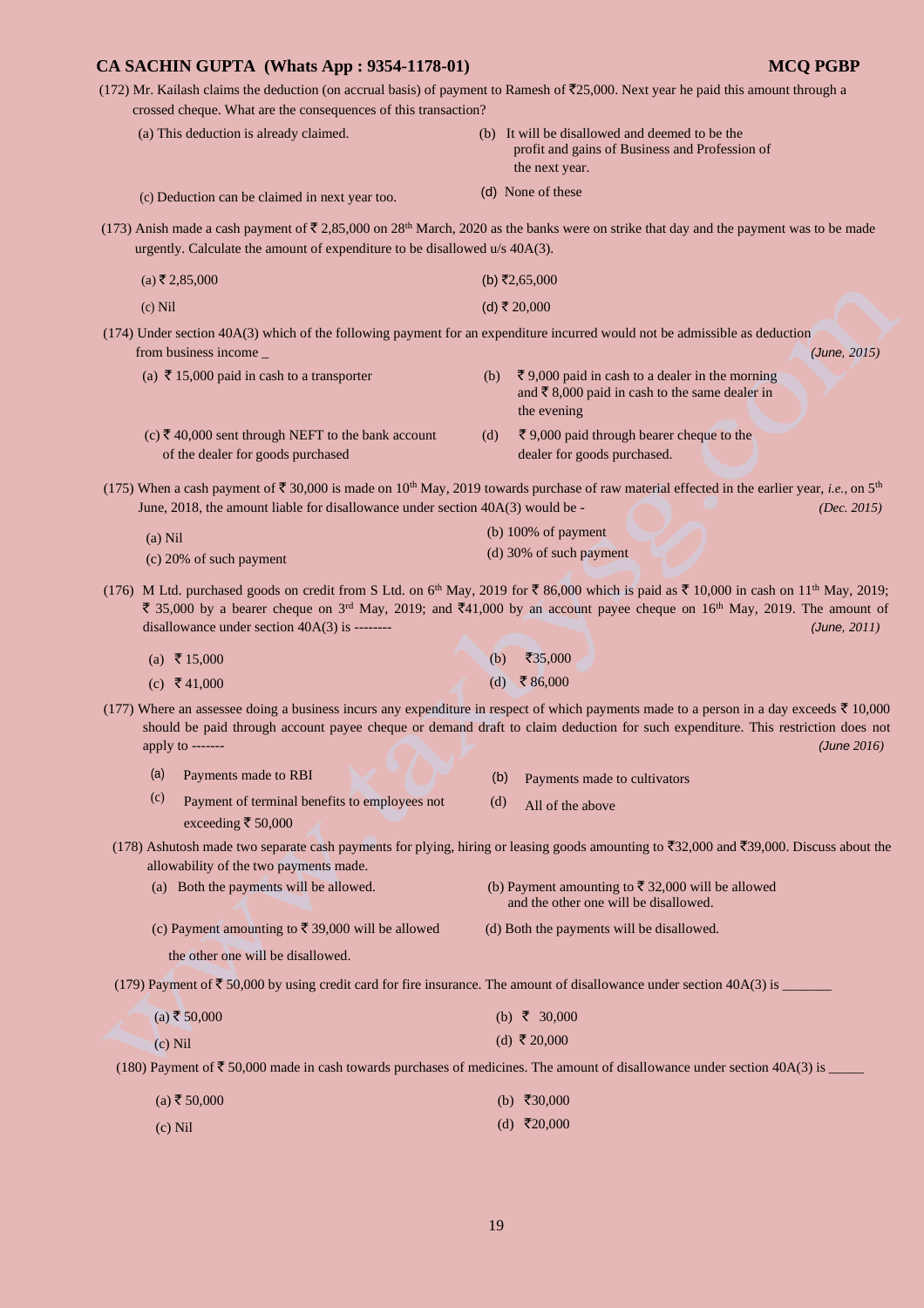| CA SACHIN GUPTA (Whats App: 9354-1178-01)                                                                                                                                                                        | <b>MCQ PGBP</b>                                                                                                                                                                                                                                                                                                                               |
|------------------------------------------------------------------------------------------------------------------------------------------------------------------------------------------------------------------|-----------------------------------------------------------------------------------------------------------------------------------------------------------------------------------------------------------------------------------------------------------------------------------------------------------------------------------------------|
| (172) Mr. Kailash claims the deduction (on accrual basis) of payment to Ramesh of $\bar{\tau}$ 25,000. Next year he paid this amount through a<br>crossed cheque. What are the consequences of this transaction? |                                                                                                                                                                                                                                                                                                                                               |
| (a) This deduction is already claimed.                                                                                                                                                                           | (b) It will be disallowed and deemed to be the<br>profit and gains of Business and Profession of<br>the next year.                                                                                                                                                                                                                            |
| (c) Deduction can be claimed in next year too.                                                                                                                                                                   | (d) None of these                                                                                                                                                                                                                                                                                                                             |
| urgently. Calculate the amount of expenditure to be disallowed u/s 40A(3).                                                                                                                                       | (173) Anish made a cash payment of $\overline{5}$ 2,85,000 on 28 <sup>th</sup> March, 2020 as the banks were on strike that day and the payment was to be made                                                                                                                                                                                |
| $(a)$ ₹ 2,85,000                                                                                                                                                                                                 | (b) ₹2,65,000                                                                                                                                                                                                                                                                                                                                 |
| $(c)$ Nil                                                                                                                                                                                                        | (d) ₹ 20,000                                                                                                                                                                                                                                                                                                                                  |
| (174) Under section 40A(3) which of the following payment for an expenditure incurred would not be admissible as deduction<br>from business income _                                                             | (June, 2015)                                                                                                                                                                                                                                                                                                                                  |
| (a) ₹ 15,000 paid in cash to a transporter                                                                                                                                                                       | ₹9,000 paid in cash to a dealer in the morning<br>(b)<br>and $\bar{\xi}$ 8,000 paid in cash to the same dealer in<br>the evening                                                                                                                                                                                                              |
| (c) ₹ 40,000 sent through NEFT to the bank account<br>of the dealer for goods purchased                                                                                                                          | ₹ 9,000 paid through bearer cheque to the<br>(d)<br>dealer for goods purchased.                                                                                                                                                                                                                                                               |
| June, 2018, the amount liable for disallowance under section 40A(3) would be -                                                                                                                                   | (175) When a cash payment of $\bar{\tau}$ 30,000 is made on 10 <sup>th</sup> May, 2019 towards purchase of raw material effected in the earlier year, <i>i.e.</i> , on 5 <sup>th</sup><br>( <i>Dec.</i> 2015)                                                                                                                                 |
| $(a)$ Nil                                                                                                                                                                                                        | $(b)$ 100% of payment                                                                                                                                                                                                                                                                                                                         |
| (c) 20% of such payment                                                                                                                                                                                          | (d) 30% of such payment                                                                                                                                                                                                                                                                                                                       |
| disallowance under section 40A(3) is --------                                                                                                                                                                    | (176) M Ltd. purchased goods on credit from S Ltd. on $6th$ May, 2019 for $\bar{\tau}$ 86,000 which is paid as $\bar{\tau}$ 10,000 in cash on 11 <sup>th</sup> May, 2019;<br>₹ 35,000 by a bearer cheque on 3 <sup>rd</sup> May, 2019; and ₹41,000 by an account payee cheque on 16 <sup>th</sup> May, 2019. The amount of<br>(June, $2011$ ) |
| (a) ₹ 15,000                                                                                                                                                                                                     | ₹35,000<br>(b)                                                                                                                                                                                                                                                                                                                                |
| (c) ₹41,000                                                                                                                                                                                                      | (d) ₹86,000                                                                                                                                                                                                                                                                                                                                   |
| apply to -------                                                                                                                                                                                                 | (177) Where an assessee doing a business incurs any expenditure in respect of which payments made to a person in a day exceeds ₹ 10,000<br>should be paid through account payee cheque or demand draft to claim deduction for such expenditure. This restriction does not<br>(June 2016)                                                      |
| (a)<br>Payments made to RBI                                                                                                                                                                                      | (b)<br>Payments made to cultivators                                                                                                                                                                                                                                                                                                           |
| (c)<br>Payment of terminal benefits to employees not<br>exceeding ₹ 50,000                                                                                                                                       | (d)<br>All of the above                                                                                                                                                                                                                                                                                                                       |
| allowability of the two payments made.                                                                                                                                                                           | (178) Ashutosh made two separate cash payments for plying, hiring or leasing goods amounting to ₹32,000 and ₹39,000. Discuss about the                                                                                                                                                                                                        |
| (a) Both the payments will be allowed.                                                                                                                                                                           | (b) Payment amounting to ₹ 32,000 will be allowed<br>and the other one will be disallowed.                                                                                                                                                                                                                                                    |

(c) Payment amounting to  $\bar{\tau}$  39,000 will be allowed (d) Both the payments will be disallowed.

the other one will be disallowed.

(179) Payment of  $\bar{\tau}$  50,000 by using credit card for fire insurance. The amount of disallowance under section 40A(3) is \_\_\_\_\_\_

| $(a)$ ₹ 50,000 | (b) $\bar{\tau}$ 30,000 |
|----------------|-------------------------|
| $(c)$ Nil      | (d) ₹ 20,000            |

(180) Payment of  $\bar{\tau}$  50,000 made in cash towards purchases of medicines. The amount of disallowance under section 40A(3) is \_\_\_\_\_

| $(a)$ ₹ 50,000 | (b) $\bar{\tau}30,000$ |
|----------------|------------------------|
|                |                        |

(c) Nil (d) ₹20,000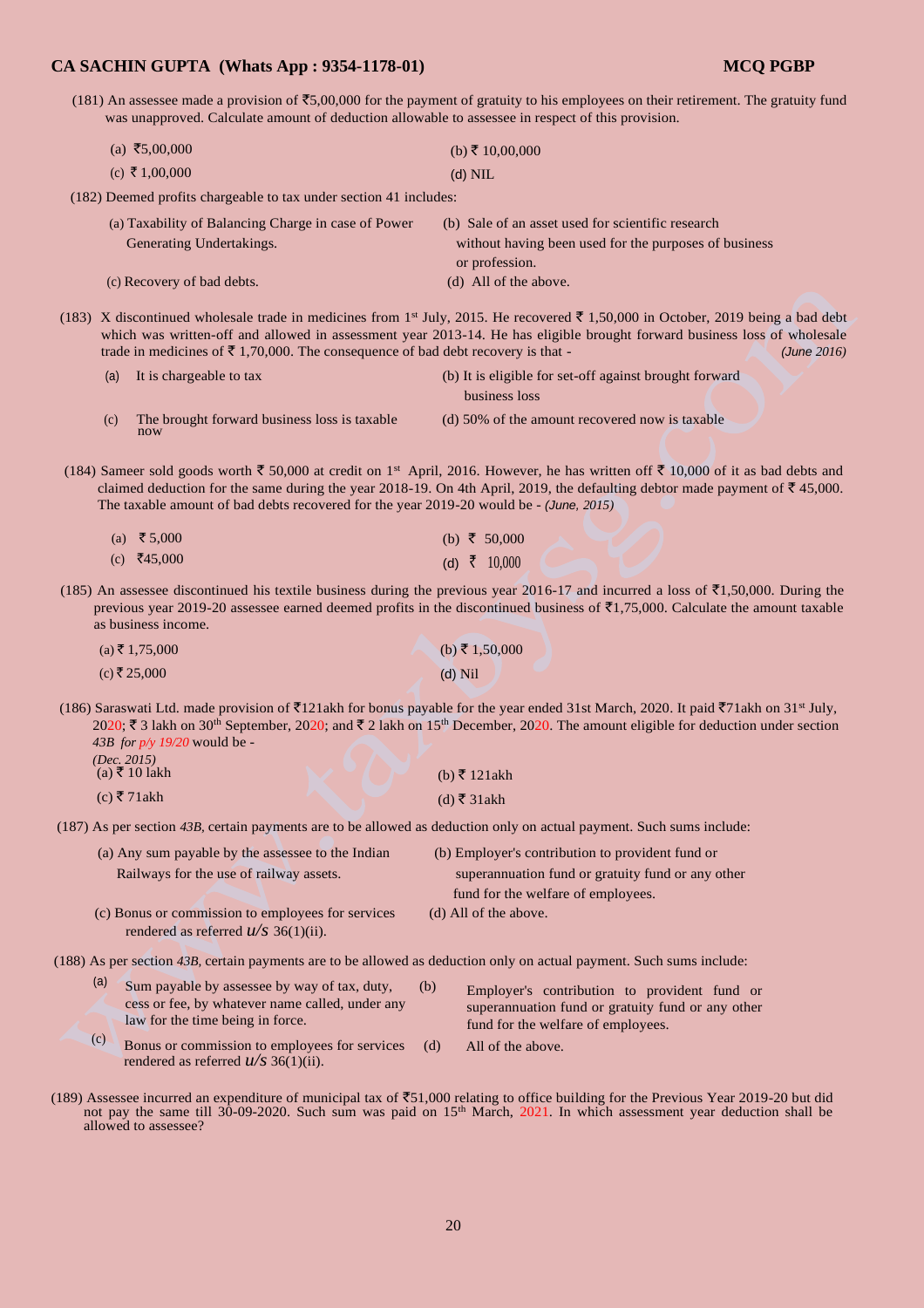(181) An assessee made a provision of  $\overline{55,00,000}$  for the payment of gratuity to his employees on their retirement. The gratuity fund was unapproved. Calculate amount of deduction allowable to assessee in respect of this provision.

| (a) ₹5,00,000  | (b) ₹ 10,00,000 |
|----------------|-----------------|
| (c) ₹ 1,00,000 | $(d)$ NIL       |

(182) Deemed profits chargeable to tax under section 41 includes:

| (a) Taxability of Balancing Charge in case of Power | (b) Sale of an asset used for scientific research     |
|-----------------------------------------------------|-------------------------------------------------------|
| Generating Undertakings.                            | without having been used for the purposes of business |
|                                                     | or profession.                                        |
| (c) Recovery of bad debts.                          | (d) All of the above.                                 |
|                                                     |                                                       |

(183) X discontinued wholesale trade in medicines from 1<sup>st</sup> July, 2015. He recovered  $\bar{\tau}$  1,50,000 in October, 2019 being a bad debt which was written-off and allowed in assessment year 2013-14. He has eligible brought forward business loss of wholesale trade in medicines of  $\bar{\tau}$  1,70,000. The consequence of bad debt recovery is that -  $(June\ 2016)$ 

| (a) It is chargeable to tax                  | (b) It is eligible for set-off against brought forward |  |  |  |
|----------------------------------------------|--------------------------------------------------------|--|--|--|
|                                              | business loss                                          |  |  |  |
| The brought forward business loss is taxable | (d) 50% of the amount recovered now is taxable         |  |  |  |

- now
- (184) Sameer sold goods worth  $\overline{5}$  50,000 at credit on 1<sup>st</sup> April, 2016. However, he has written off  $\overline{5}$  10,000 of it as bad debts and claimed deduction for the same during the year 2018-19. On 4th April, 2019, the defaulting debtor made payment of  $\bar{\mathfrak{c}}$  45,000. The taxable amount of bad debts recovered for the year 2019-20 would be - *(June, 2015)*

| (a) ₹5,000           |  | (b) ₹ 50,000            |
|----------------------|--|-------------------------|
| (c) $\bar{x}$ 45,000 |  | (d) $\bar{\tau}$ 10,000 |

(185) An assessee discontinued his textile business during the previous year 2016-17 and incurred a loss of  $\bar{\mathfrak{F}}1,50,000$ . During the previous year 2019-20 assessee earned deemed profits in the discontinued business of  $\bar{\tau}$ 1,75,000. Calculate the amount taxable as business income.

| (a) ₹ 1,75,000 | (b) ₹ 1,50,000 |
|----------------|----------------|
| (c) ₹ 25,000   | $(d)$ Nil      |

(186) Saraswati Ltd. made provision of  $\bar{\mathfrak{c}}$ 121akh for bonus payable for the year ended 31st March, 2020. It paid  $\bar{\mathfrak{c}}$ 71akh on 31<sup>st</sup> July, 2020; ₹ 3 lakh on 30<sup>th</sup> September, 2020; and ₹ 2 lakh on 15<sup>th</sup> December, 2020. The amount eligible for deduction under section *43B for p/y 19/20* would be - *(Dec. 2015)* 

| . <del>.</del> .<br>$(a)$ ₹ 10 lakh |  | (b) ₹ 121 akh |
|-------------------------------------|--|---------------|
| (c) ₹71 akh                         |  | (d) ₹ 31 akh  |

rendered as referred  $u/s$  36(1)(ii).

(187) As per section *43B,* certain payments are to be allowed as deduction only on actual payment. Such sums include:

| (a) Any sum payable by the assessee to the Indian | (b) Employer's contribution to provident fund or  |
|---------------------------------------------------|---------------------------------------------------|
| Railways for the use of railway assets.           | superannuation fund or gratuity fund or any other |
|                                                   | fund for the welfare of employees.                |
| (c) Bonus or commission to employees for services | (d) All of the above.                             |
| rendered as referred $u/s$ 36(1)(ii).             |                                                   |
|                                                   |                                                   |

- (188) As per section *43B,* certain payments are to be allowed as deduction only on actual payment. Such sums include:
	- (a) Sum payable by assessee by way of tax, duty, (b) cess or fee, by whatever name called, under any law for the time being in force.  $\begin{bmatrix} (c) \\ \text{Bonus or commission to employees for services} \\ \end{bmatrix}$  (d) All of the above. Employer's contribution to provident fund or superannuation fund or gratuity fund or any other fund for the welfare of employees.
- (189) Assessee incurred an expenditure of municipal tax of  $\overline{5}51,000$  relating to office building for the Previous Year 2019-20 but did not pay the same till 30-09-2020. Such sum was paid on 15<sup>th</sup> March, 2021. In which assessment year deduction shall be allowed to assessee?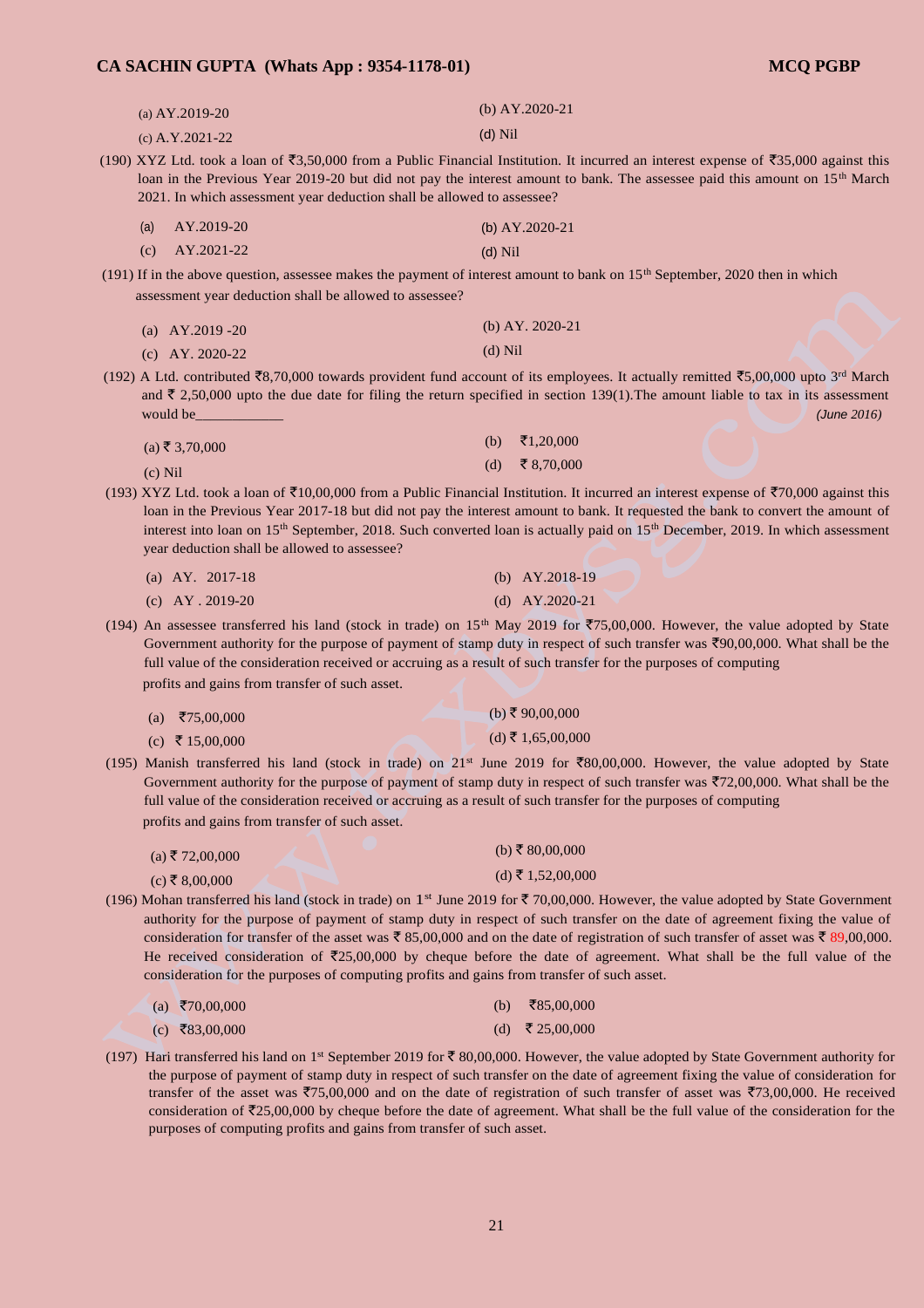| (a) AY.2019-20  | (b) $AY.2020-21$ |
|-----------------|------------------|
| (c) A.Y.2021-22 | $(d)$ Nil        |

(190) XYZ Ltd. took a loan of  $\overline{53,50,000}$  from a Public Financial Institution. It incurred an interest expense of  $\overline{535,000}$  against this loan in the Previous Year 2019-20 but did not pay the interest amount to bank. The assessee paid this amount on 15<sup>th</sup> March 2021. In which assessment year deduction shall be allowed to assessee?

| (a) $AY.2019-20$ | (b) $AY.2020-21$ |
|------------------|------------------|
| (c) $AY.2021-22$ | $(d)$ Nil        |

(191) If in the above question, assessee makes the payment of interest amount to bank on  $15<sup>th</sup>$  September, 2020 then in which assessment year deduction shall be allowed to assessee?

| (a) $AY.2019 - 20$ | (b) AY. $2020-21$ |
|--------------------|-------------------|
| (c) AY. 2020-22    | $(d)$ Nil         |

(192) A Ltd. contributed  $\bar{z}8,70,000$  towards provident fund account of its employees. It actually remitted  $\bar{z}5,00,000$  upto 3<sup>rd</sup> March and  $\bar{\tau}$  2,50,000 upto the due date for filing the return specified in section 139(1). The amount liable to tax in its assessment would be\_\_\_\_\_\_\_\_\_\_\_\_ *(June 2016)* 

| $(a)$ ₹ 3,70,000 | (b) $\bar{\tau}1,20,000$ |
|------------------|--------------------------|
| $(c)$ Nil        | (d) ₹8,70,000            |

(193) XYZ Ltd. took a loan of  $\bar{z}10,00,000$  from a Public Financial Institution. It incurred an interest expense of  $\bar{z}70,000$  against this loan in the Previous Year 2017-18 but did not pay the interest amount to bank. It requested the bank to convert the amount of interest into loan on 15th September, 2018. Such converted loan is actually paid on 15th December, 2019. In which assessment year deduction shall be allowed to assessee?

|  | (a) AY. $2017-18$ | (b) $AY.2018-19$ |
|--|-------------------|------------------|
|  | (c) $AY.2019-20$  | (d) $AY.2020-21$ |

(194) An assessee transferred his land (stock in trade) on  $15<sup>th</sup>$  May 2019 for ₹75,00,000. However, the value adopted by State Government authority for the purpose of payment of stamp duty in respect of such transfer was  $\overline{(}90,00,000$ . What shall be the full value of the consideration received or accruing as a result of such transfer for the purposes of computing profits and gains from transfer of such asset.

| (a) $\bar{5}75,00,000$ |  | (b) ₹ 90,00,000   |
|------------------------|--|-------------------|
| (c) ₹ 15,00,000        |  | (d) ₹ 1,65,00,000 |

(195) Manish transferred his land (stock in trade) on 21<sup>st</sup> June 2019 for  $\overline{$80,00,000}$ . However, the value adopted by State Government authority for the purpose of payment of stamp duty in respect of such transfer was  $\overline{772,00,000}$ . What shall be the full value of the consideration received or accruing as a result of such transfer for the purposes of computing profits and gains from transfer of such asset.

| $(a)$ ₹ 72,00,000 | (b) ₹ 80,00,000   |
|-------------------|-------------------|
| (c) ₹ 8,00,000    | (d) ₹ 1,52,00,000 |

(196) Mohan transferred his land (stock in trade) on  $1^{st}$  June 2019 for  $\bar{\tau}$  70,00,000. However, the value adopted by State Government authority for the purpose of payment of stamp duty in respect of such transfer on the date of agreement fixing the value of consideration for transfer of the asset was  $\bar{\tau}$  85,00,000 and on the date of registration of such transfer of asset was  $\bar{\tau}$  89,00,000. He received consideration of  $\overline{25,00,000}$  by cheque before the date of agreement. What shall be the full value of the consideration for the purposes of computing profits and gains from transfer of such asset.

| (a) ₹70,00,000 | (b) ₹85,00,000                              |
|----------------|---------------------------------------------|
| T0200000       | $\Sigma$ $\sim$ $\sim$ $\sim$ $\sim$ $\sim$ |

- $(c)$  ₹83,00,000 (d) ₹ 25,00,000
- (197) Hari transferred his land on 1<sup>st</sup> September 2019 for  $\bar{\mathfrak{c}}$  80,00,000. However, the value adopted by State Government authority for the purpose of payment of stamp duty in respect of such transfer on the date of agreement fixing the value of consideration for transfer of the asset was  $\overline{5,00,000}$  and on the date of registration of such transfer of asset was  $\overline{5,00,000}$ . He received consideration of  $\overline{525,00,000}$  by cheque before the date of agreement. What shall be the full value of the consideration for the purposes of computing profits and gains from transfer of such asset.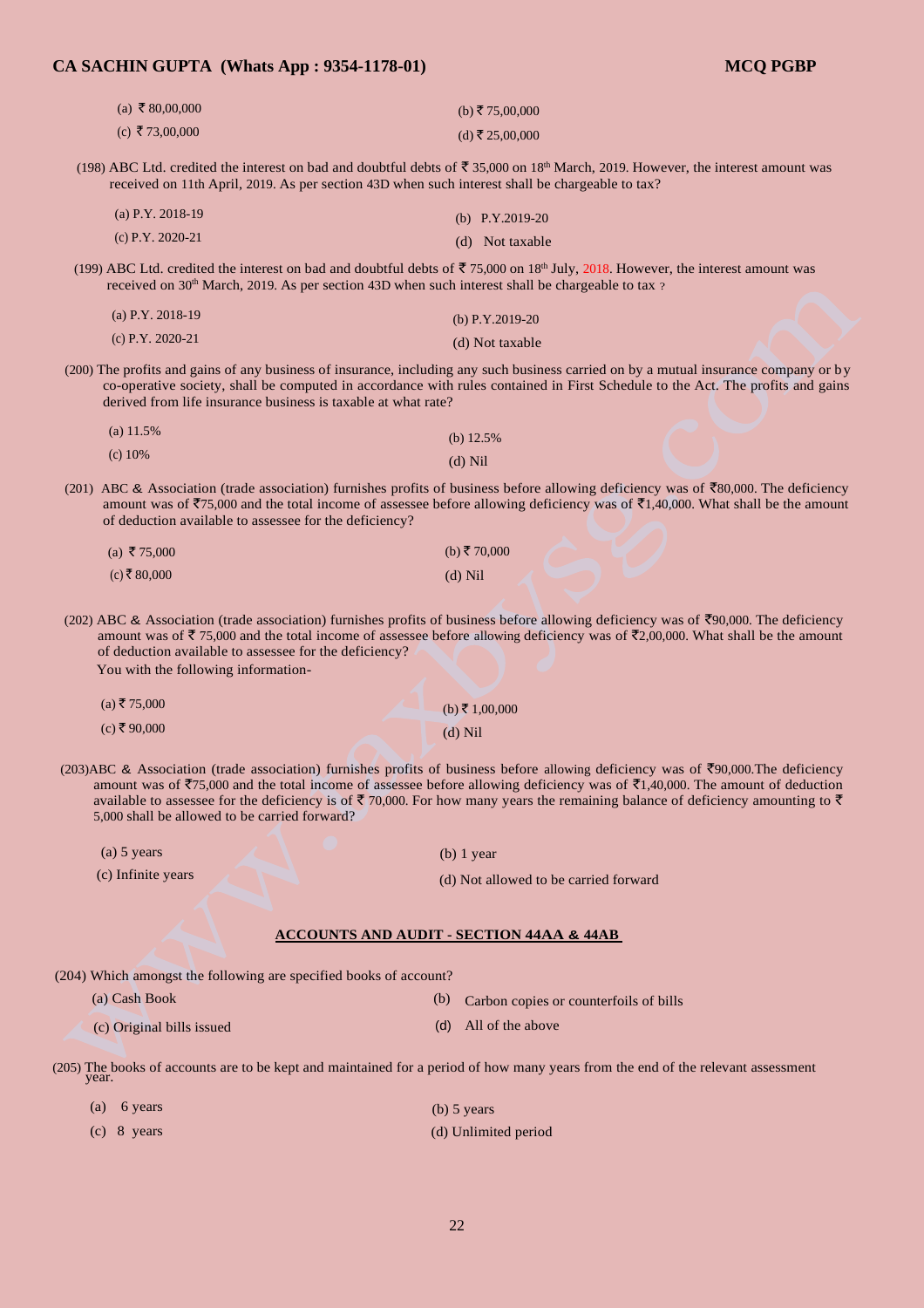| (a) ₹ 80,00,000 | (b) ₹ 75,00,000 |
|-----------------|-----------------|
| (c) ₹73,00,000  | (d) ₹ 25,00,000 |

(198) ABC Ltd. credited the interest on bad and doubtful debts of  $\overline{5}$  35,000 on 18<sup>th</sup> March, 2019. However, the interest amount was received on 11th April, 2019. As per section 43D when such interest shall be chargeable to tax?

| (a) P.Y. 2018-19 | (b) $P.Y.2019-20$ |
|------------------|-------------------|
| (c) P.Y. 2020-21 | (d) Not taxable   |

(199) ABC Ltd. credited the interest on bad and doubtful debts of  $\overline{5}$  75,000 on 18<sup>th</sup> July, 2018. However, the interest amount was received on 30<sup>th</sup> March, 2019. As per section 43D when such interest shall be chargeable to tax ?

| (a) $P.Y. 2018-19$ | (b) $P.Y.2019-20$ |
|--------------------|-------------------|
| (c) $P.Y. 2020-21$ | (d) Not taxable   |

(200) The profits and gains of any business of insurance, including any such business carried on by a mutual insurance company or by co-operative society, shall be computed in accordance with rules contained in First Schedule to the Act. The profits and gains derived from life insurance business is taxable at what rate?

| (a) $11.5%$ | (b) $12.5\%$ |
|-------------|--------------|
| (c) $10\%$  | $(d)$ Nil    |

(201) ABC & Association (trade association) furnishes profits of business before allowing deficiency was of  $\overline{\xi}80,000$ . The deficiency amount was of  $\overline{575,000}$  and the total income of assessee before allowing deficiency was of  $\overline{51,40,000}$ . What shall be the amount of deduction available to assessee for the deficiency?

| (a) ₹75,000   | (b) ₹70,000 |
|---------------|-------------|
| $(c)$ ₹80,000 | $(d)$ Nil   |

(202) ABC & Association (trade association) furnishes profits of business before allowing deficiency was of  $\bar{\zeta}$ 90,000. The deficiency amount was of  $\bar{\tau}$  75,000 and the total income of assessee before allowing deficiency was of  $\bar{\tau}$ 2,00,000. What shall be the amount of deduction available to assessee for the deficiency? You with the following information-

| $(a)$ ₹ 75,000 | (b) ₹ 1,00,000 |
|----------------|----------------|
| (c) ₹90,000    | $(d)$ Nil      |

(203)ABC & Association (trade association) furnishes profits of business before allowing deficiency was of  $\overline{5}90,000$ . The deficiency amount was of  $\overline{575,000}$  and the total income of assessee before allowing deficiency was of  $\overline{51,40,000}$ . The amount of deduction available to assessee for the deficiency is of  $\bar{\tau}$  70,000. For how many years the remaining balance of deficiency amounting to  $\bar{\tau}$ 5,000 shall be allowed to be carried forward?

| $(a)$ 5 years      | $(b)$ 1 year                          |
|--------------------|---------------------------------------|
| (c) Infinite years | (d) Not allowed to be carried forward |

#### **ACCOUNTS AND AUDIT - SECTION 44AA & 44AB**

(204) Which amongst the following are specified books of account?

| (a) Cash Book             | (b) Carbon copies or counterfoils of bills |  |
|---------------------------|--------------------------------------------|--|
| (c) Original bills issued | (d) All of the above                       |  |

(205) The books of accounts are to be kept and maintained for a period of how many years from the end of the relevant assessment year.

| (a) 6 years   | (b) $5$ years        |
|---------------|----------------------|
| $(c)$ 8 years | (d) Unlimited period |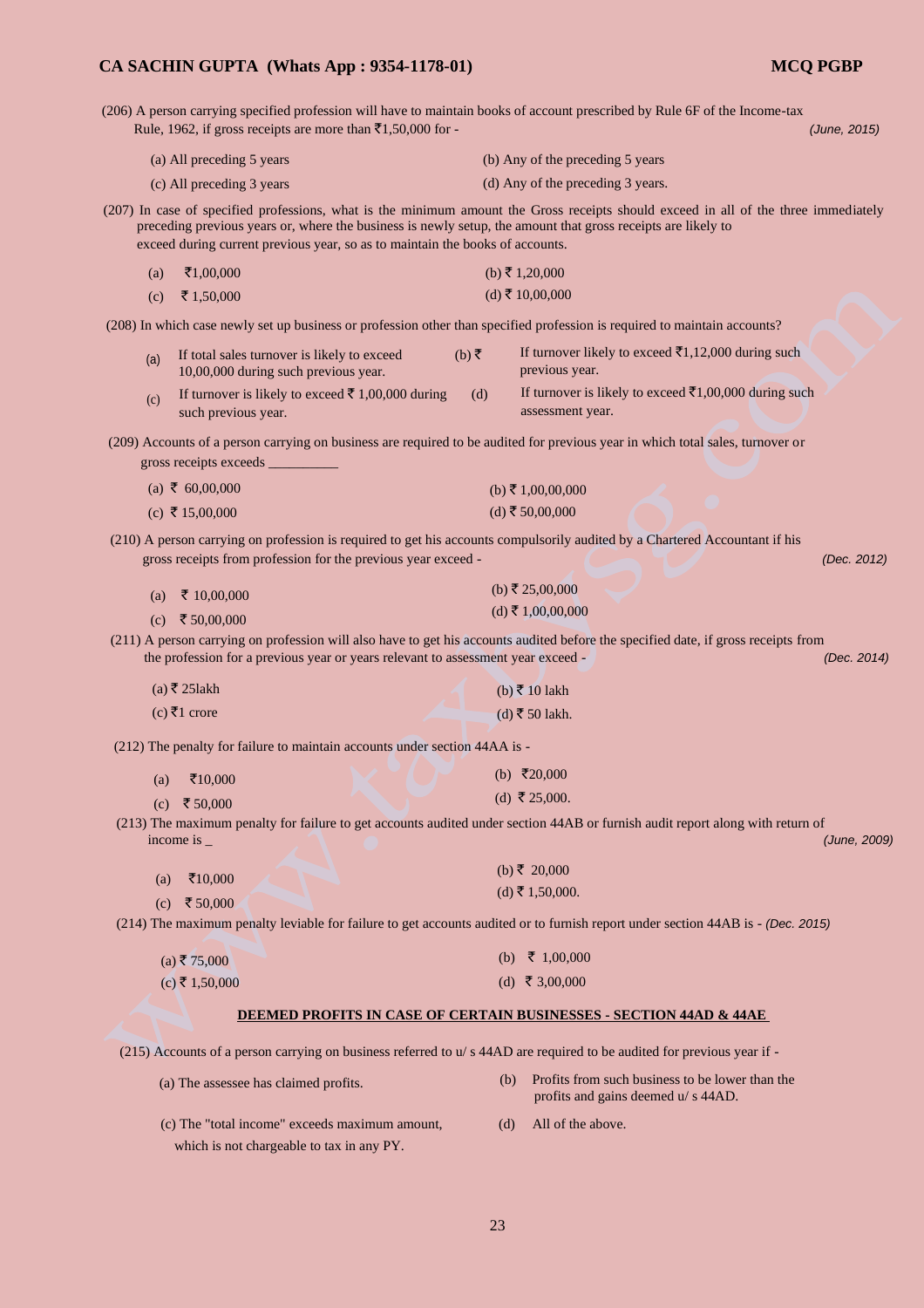(206) A person carrying specified profession will have to maintain books of account prescribed by Rule 6F of the Income-tax Rule, 1962, if gross receipts are more than  $\bar{z}1,50,000$  for -  $(June, 2015)$ 

| (a) All preceding 5 years | (b) Any of the preceding 5 years  |
|---------------------------|-----------------------------------|
| (c) All preceding 3 years | (d) Any of the preceding 3 years. |

(207) In case of specified professions, what is the minimum amount the Gross receipts should exceed in all of the three immediately preceding previous years or, where the business is newly setup, the amount that gross receipts are likely to exceed during current previous year, so as to maintain the books of accounts.

| (a) ₹1,00,000 | (b) ₹ 1,20,000  |
|---------------|-----------------|
| (c) ₹1,50,000 | (d) ₹ 10,00,000 |

(208) In which case newly set up business or profession other than specified profession is required to maintain accounts?

| If total sales turnover is likely to exceed<br>10,00,000 during such previous year. | (b) ₹ | If turnover likely to exceed $\bar{\tau}1,12,000$ during such<br>previous year.      |
|-------------------------------------------------------------------------------------|-------|--------------------------------------------------------------------------------------|
| If turnover is likely to exceed ₹ 1,00,000 during<br>such previous year.            | (d)   | If turnover is likely to exceed $\bar{\tau}1,00,000$ during such<br>assessment year. |

(209) Accounts of a person carrying on business are required to be audited for previous year in which total sales, turnover or gross receipts exceeds \_\_\_\_\_\_\_\_\_\_

| (a) ₹ 60,00,000 | (b) ₹ 1,00,00,000 |
|-----------------|-------------------|
| (c) ₹ 15,00,000 | (d) ₹ 50,00,000   |
|                 |                   |

(210) A person carrying on profession is required to get his accounts compulsorily audited by a Chartered Accountant if his gross receipts from profession for the previous year exceed - *(Dec. 2012) (Dec. 2012)* 

| (a) ₹ 10,00,000 | (b) ₹ 25,00,000   |
|-----------------|-------------------|
| (c) ₹ 50,00,000 | (d) ₹ 1,00,00,000 |

(211) A person carrying on profession will also have to get his accounts audited before the specified date, if gross receipts from the profession for a previous year or years relevant to assessment year exceed - *(Dec. 2014)* 

| (a) ₹ 251akh | (b) ₹ 10 lakh    |
|--------------|------------------|
| (c) ₹1 crore | $(d)$ ₹ 50 lakh. |

(212) The penalty for failure to maintain accounts under section 44AA is -

| (a) $\bar{x}$ 10,000 |  | (b) $\bar{\xi}20,000$ |
|----------------------|--|-----------------------|
| (c) ₹ 50,000         |  | (d) ₹ 25,000.         |

(213) The maximum penalty for failure to get accounts audited under section 44AB or furnish audit report along with return of income is \_ *(June, 2009)* 

| (a) ₹10,000  | (b) ₹ 20,000    |
|--------------|-----------------|
|              | (d) ₹ 1,50,000. |
| (c) ₹ 50.000 |                 |

(214) The maximum penalty leviable for failure to get accounts audited or to furnish report under section 44AB is - *(Dec. 2015)* 

| $(a)$ ₹ 75,000 | (b) $\bar{\tau}$ 1,00,000 |
|----------------|---------------------------|
| (c) ₹ 1,50,000 | (d) ₹ 3,00,000            |

#### **DEEMED PROFITS IN CASE OF CERTAIN BUSINESSES - SECTION 44AD & 44AE**

(215) Accounts of a person carrying on business referred to u/ s 44AD are required to be audited for previous year if -

- 
- (a) The assessee has claimed profits. (b) Profits from such business to be lower than the profits and gains deemed u/ s 44AD.
- (c) The "total income" exceeds maximum amount, (d) All of the above. which is not chargeable to tax in any PY.
	-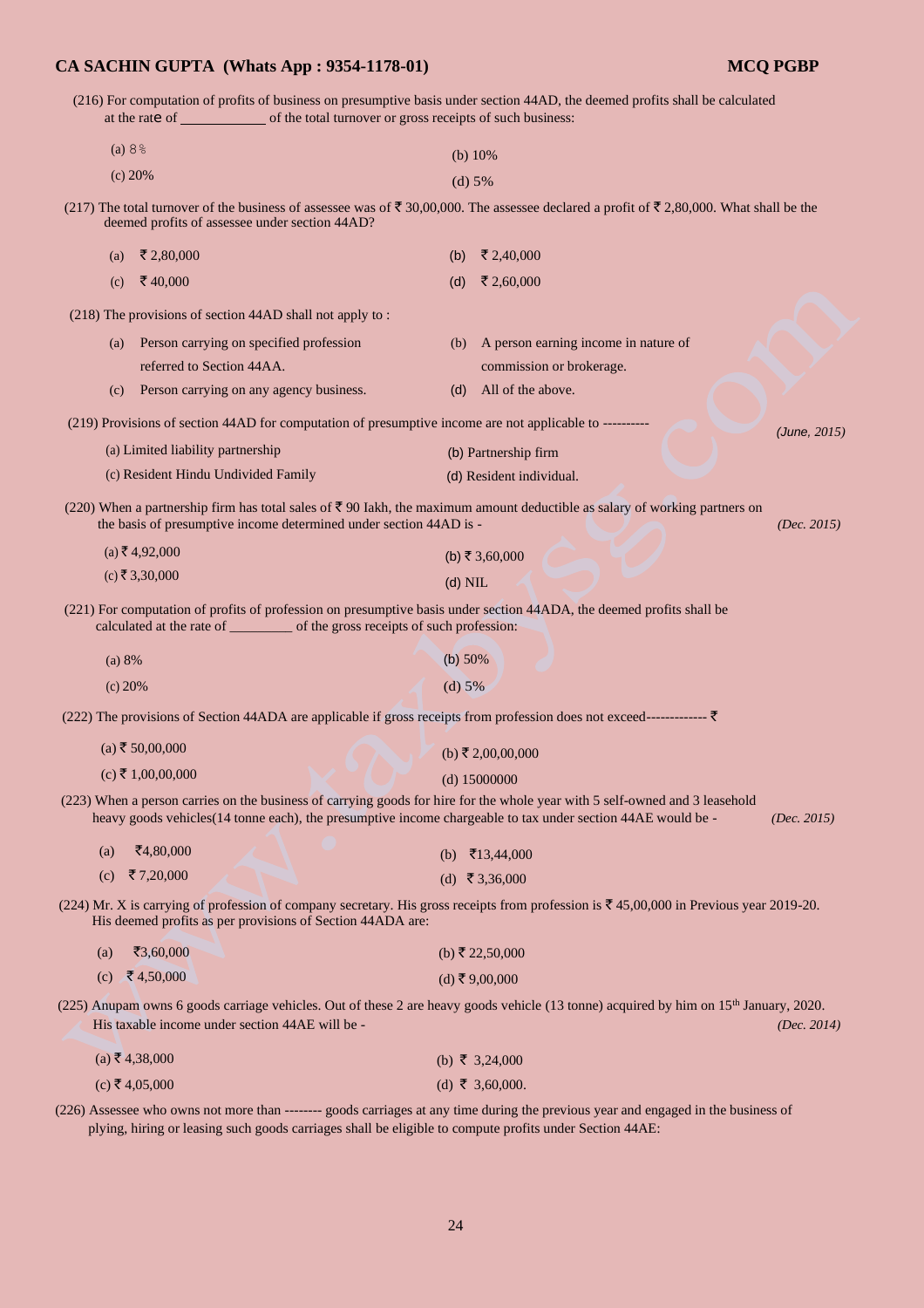(216) For computation of profits of business on presumptive basis under section 44AD, the deemed profits shall be calculated at the rate of of our of the total turnover or gross receipts of such business:

| (a) 8%  | (b) $10\%$ |
|---------|------------|
| (c) 20% | $(d)$ 5%   |

(217) The total turnover of the business of assessee was of  $\bar{\tau}$  30,00,000. The assessee declared a profit of  $\bar{\tau}$  2,80,000. What shall be the deemed profits of assessee under section 44AD?

| (a) | ₹ 2,80,000                                                                                             | (b) | ₹ 2,40,000                           |              |
|-----|--------------------------------------------------------------------------------------------------------|-----|--------------------------------------|--------------|
| (c) | ₹ 40,000                                                                                               | (d) | ₹ 2,60,000                           |              |
|     | (218) The provisions of section 44AD shall not apply to:                                               |     |                                      |              |
| (a) | Person carrying on specified profession                                                                | (b) | A person earning income in nature of |              |
|     | referred to Section 44AA.                                                                              |     | commission or brokerage.             |              |
| (c) | Person carrying on any agency business.                                                                | (d) | All of the above.                    |              |
|     | (219) Provisions of section 44AD for computation of presumptive income are not applicable to --------- |     |                                      | (June, 2015) |
|     | (a) Limited liability partnership                                                                      |     | (b) Partnership firm                 |              |
|     | (c) Resident Hindu Undivided Family                                                                    |     | (d) Resident individual.             |              |
|     |                                                                                                        |     |                                      |              |

(220) When a partnership firm has total sales of  $\overline{5}$  90 Iakh, the maximum amount deductible as salary of working partners on the basis of presumptive income determined under section 44AD is - *(Dec. 2015)* 

| $(a)$ ₹ 4,92,000 | (b) ₹ 3,60,000 |
|------------------|----------------|
| (c) ₹ 3,30,000   | $(d)$ NIL      |

(221) For computation of profits of profession on presumptive basis under section 44ADA, the deemed profits shall be calculated at the rate of \_\_\_\_\_\_\_\_\_ of the gross receipts of such profession:

| (a) 8%  | (b) $50\%$ |
|---------|------------|
| (c) 20% | (d) $5%$   |

(222) The provisions of Section 44ADA are applicable if gross receipts from profession does not exceed--------------

| $(a)$ ₹ 50,00,000 | (b) ₹ 2,00,00,000                                                                                                           |                     |
|-------------------|-----------------------------------------------------------------------------------------------------------------------------|---------------------|
| (c) ₹ 1,00,00,000 | (d) $15000000$                                                                                                              |                     |
|                   | (223) When a person carries on the business of carrying goods for hire for the whole year with 5 self-owned and 3 leasehold |                     |
|                   | heavy goods vehicles (14 tonne each), the presumptive income chargeable to tax under section 44AE would be -                | ( <i>Dec.</i> 2015) |

| (a) ₹4,80,000 | (b) $\bar{\tau}$ 13,44,000 |
|---------------|----------------------------|
| (c) ₹7,20,000 | (d) ₹3,36,000              |

(224) Mr. X is carrying of profession of company secretary. His gross receipts from profession is  $\overline{\mathcal{F}}$  45,00,000 in Previous year 2019-20. His deemed profits as per provisions of Section 44ADA are:

| (a) | ₹3,60,000     | (b) ₹ 22,50,000 |
|-----|---------------|-----------------|
|     | (c) ₹4,50,000 | (d) ₹9,00,000   |

(225) Anupam owns 6 goods carriage vehicles. Out of these 2 are heavy goods vehicle (13 tonne) acquired by him on 15th January, 2020. His taxable income under section 44AE will be - *(Dec. 2014)* 

| $(a)$ ₹ 4,38,000 | (b) $\bar{\tau}$ 3,24,000 |
|------------------|---------------------------|
| (c) ₹ 4,05,000   | (d) ₹ 3,60,000.           |

(226) Assessee who owns not more than -------- goods carriages at any time during the previous year and engaged in the business of plying, hiring or leasing such goods carriages shall be eligible to compute profits under Section 44AE: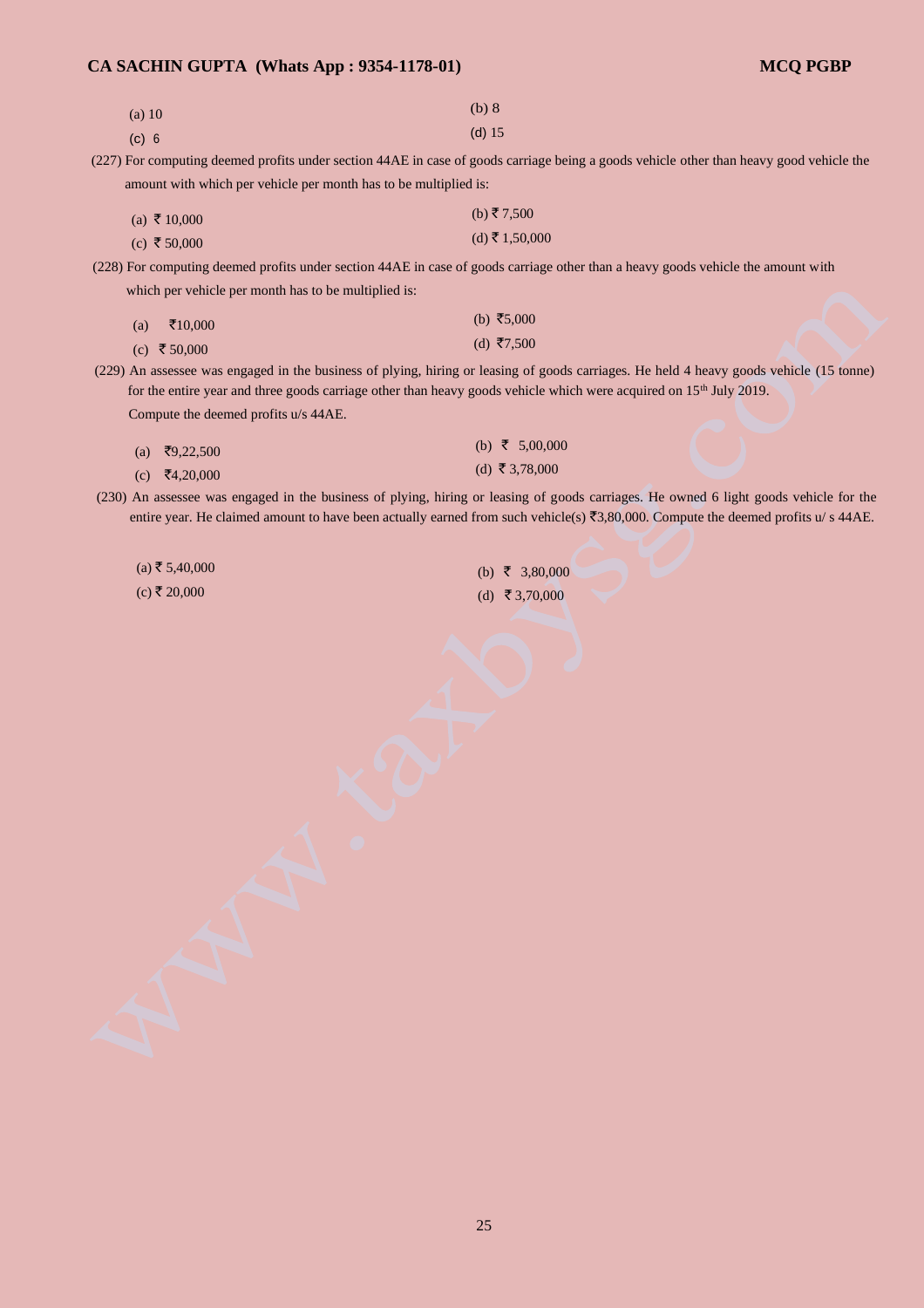| $(a)$ 10 | (b) 8    |
|----------|----------|
| (c) 6    | (d) $15$ |

(227) For computing deemed profits under section 44AE in case of goods carriage being a goods vehicle other than heavy good vehicle the amount with which per vehicle per month has to be multiplied is:

| (a) ₹ 10,000 | (b) ₹7,500     |
|--------------|----------------|
| (c) ₹ 50,000 | (d) ₹ 1,50,000 |

(228) For computing deemed profits under section 44AE in case of goods carriage other than a heavy goods vehicle the amount with which per vehicle per month has to be multiplied is:

| (a) $\bar{x}10,000$ | (b) $\bar{z}5,000$ |
|---------------------|--------------------|
| (c) ₹ 50,000        | (d) ₹7,500         |

(229) An assessee was engaged in the business of plying, hiring or leasing of goods carriages. He held 4 heavy goods vehicle (15 tonne) for the entire year and three goods carriage other than heavy goods vehicle which were acquired on 15th July 2019. Compute the deemed profits u/s 44AE.

| (a) ₹9,22,500          |  | (b) $\bar{\xi}$ 5,00,000 |
|------------------------|--|--------------------------|
| (c) $\bar{z}$ 4.20.000 |  | (d) ₹3,78,000            |

(230) An assessee was engaged in the business of plying, hiring or leasing of goods carriages. He owned 6 light goods vehicle for the entire year. He claimed amount to have been actually earned from such vehicle(s)  $\overline{53,80,000}$ . Compute the deemed profits u/ s 44AE.

| (a) ₹ 5,40,000 | (b) $\bar{\tau}$ 3,80,000 |
|----------------|---------------------------|
| (c) ₹ 20,000   | (d) ₹ 3,70,000            |